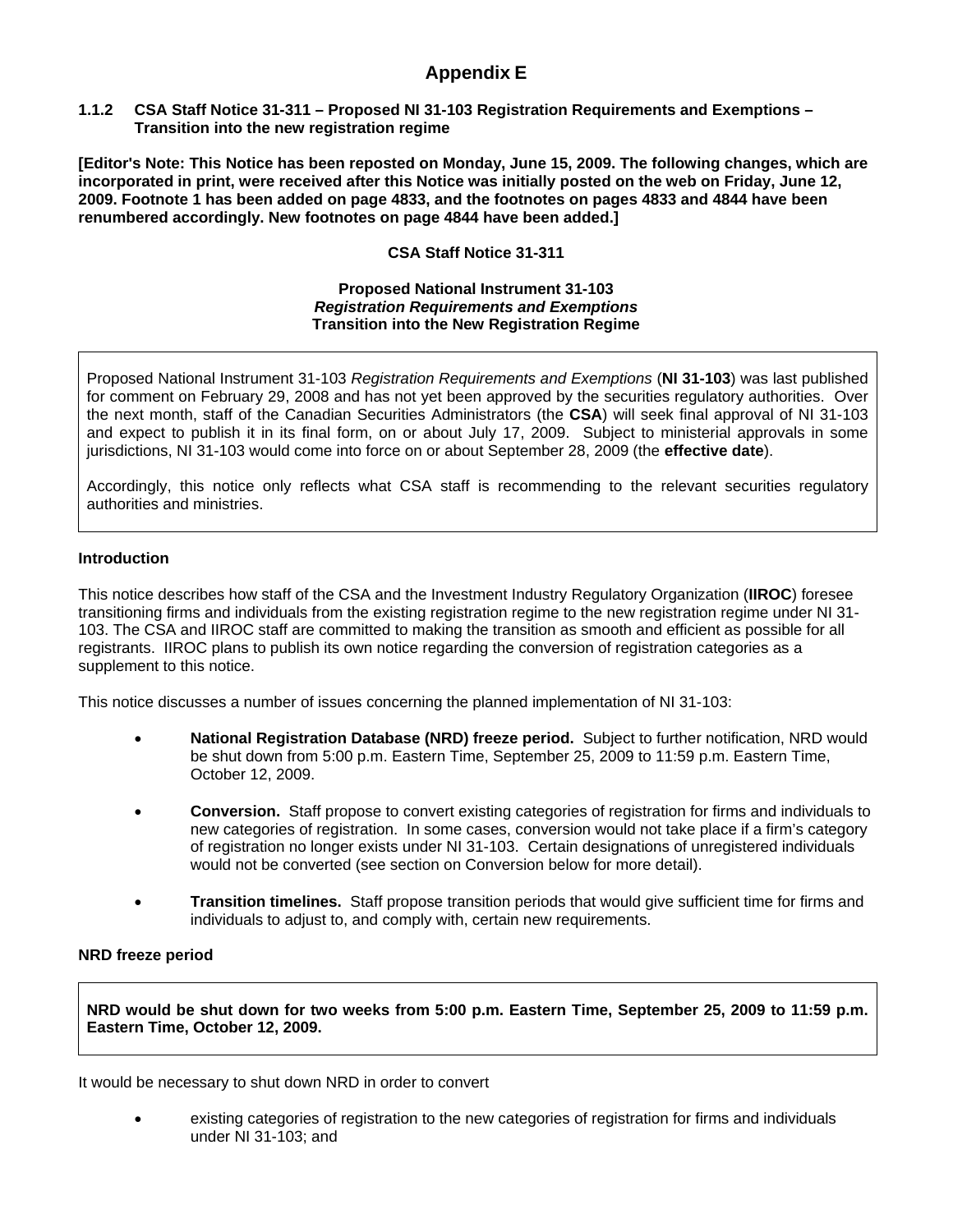# **Appendix E**

### **1.1.2 CSA Staff Notice 31-311 – Proposed NI 31-103 Registration Requirements and Exemptions – Transition into the new registration regime**

**[Editor's Note: This Notice has been reposted on Monday, June 15, 2009. The following changes, which are incorporated in print, were received after this Notice was initially posted on the web on Friday, June 12, 2009. Footnote 1 has been added on page 4833, and the footnotes on pages 4833 and 4844 have been renumbered accordingly. New footnotes on page 4844 have been added.]** 

# **CSA Staff Notice 31-311**

#### **Proposed National Instrument 31-103**  *Registration Requirements and Exemptions* **Transition into the New Registration Regime**

Proposed National Instrument 31-103 *Registration Requirements and Exemptions* (**NI 31-103**) was last published for comment on February 29, 2008 and has not yet been approved by the securities regulatory authorities. Over the next month, staff of the Canadian Securities Administrators (the **CSA**) will seek final approval of NI 31-103 and expect to publish it in its final form, on or about July 17, 2009. Subject to ministerial approvals in some jurisdictions, NI 31-103 would come into force on or about September 28, 2009 (the **effective date**).

Accordingly, this notice only reflects what CSA staff is recommending to the relevant securities regulatory authorities and ministries.

### **Introduction**

This notice describes how staff of the CSA and the Investment Industry Regulatory Organization (**IIROC**) foresee transitioning firms and individuals from the existing registration regime to the new registration regime under NI 31- 103. The CSA and IIROC staff are committed to making the transition as smooth and efficient as possible for all registrants. IIROC plans to publish its own notice regarding the conversion of registration categories as a supplement to this notice.

This notice discusses a number of issues concerning the planned implementation of NI 31-103:

- **National Registration Database (NRD) freeze period.** Subject to further notification, NRD would be shut down from 5:00 p.m. Eastern Time, September 25, 2009 to 11:59 p.m. Eastern Time, October 12, 2009.
- **Conversion.** Staff propose to convert existing categories of registration for firms and individuals to new categories of registration. In some cases, conversion would not take place if a firm's category of registration no longer exists under NI 31-103. Certain designations of unregistered individuals would not be converted (see section on Conversion below for more detail).
- **Transition timelines.** Staff propose transition periods that would give sufficient time for firms and individuals to adjust to, and comply with, certain new requirements.

#### **NRD freeze period**

**NRD would be shut down for two weeks from 5:00 p.m. Eastern Time, September 25, 2009 to 11:59 p.m. Eastern Time, October 12, 2009.**

It would be necessary to shut down NRD in order to convert

• existing categories of registration to the new categories of registration for firms and individuals under NI 31-103; and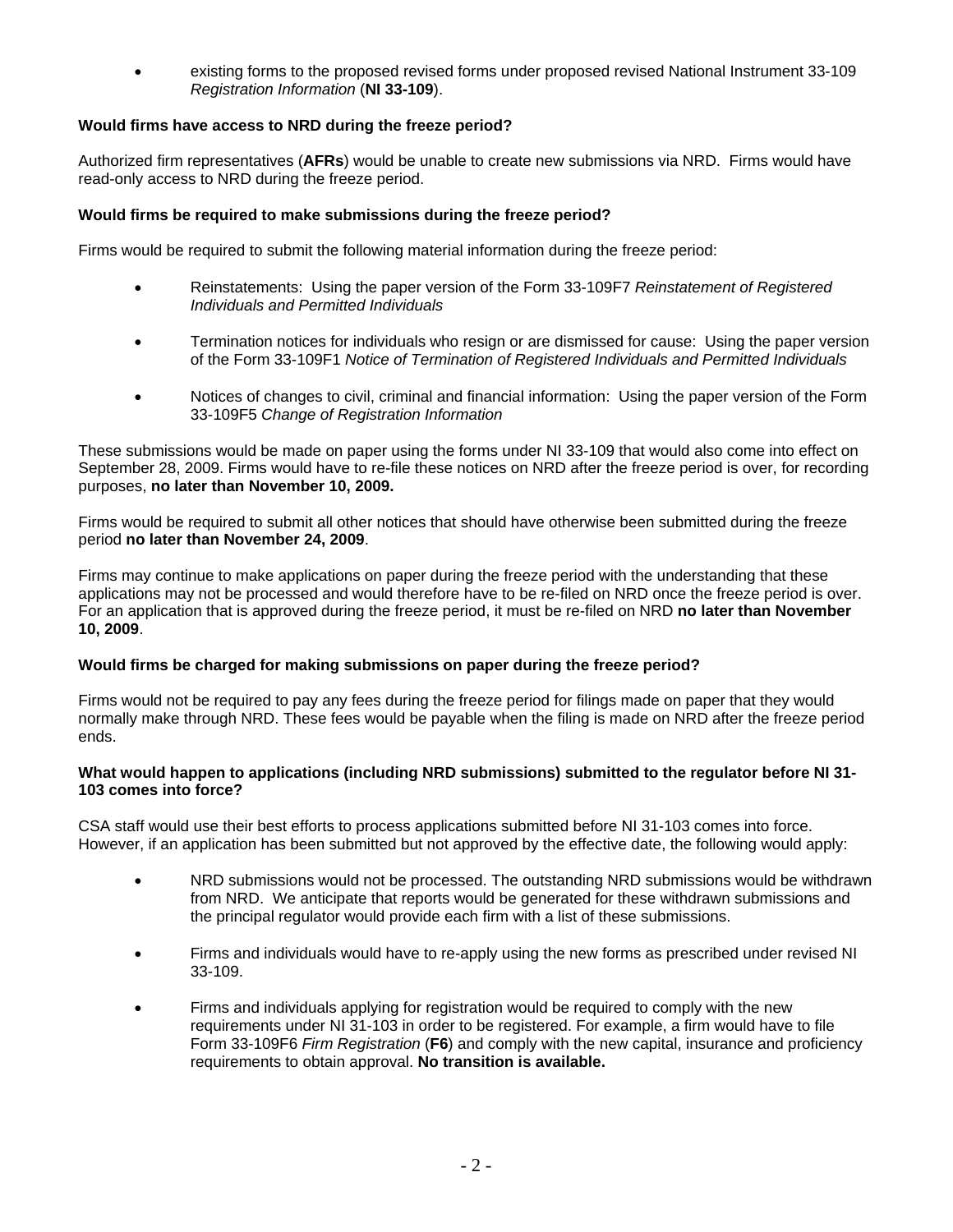• existing forms to the proposed revised forms under proposed revised National Instrument 33-109 *Registration Information* (**NI 33-109**).

## **Would firms have access to NRD during the freeze period?**

Authorized firm representatives (**AFRs**) would be unable to create new submissions via NRD. Firms would have read-only access to NRD during the freeze period.

### **Would firms be required to make submissions during the freeze period?**

Firms would be required to submit the following material information during the freeze period:

- Reinstatements: Using the paper version of the Form 33-109F7 *Reinstatement of Registered Individuals and Permitted Individuals*
- Termination notices for individuals who resign or are dismissed for cause: Using the paper version of the Form 33-109F1 *Notice of Termination of Registered Individuals and Permitted Individuals*
- Notices of changes to civil, criminal and financial information: Using the paper version of the Form 33-109F5 *Change of Registration Information*

These submissions would be made on paper using the forms under NI 33-109 that would also come into effect on September 28, 2009. Firms would have to re-file these notices on NRD after the freeze period is over, for recording purposes, **no later than November 10, 2009.** 

Firms would be required to submit all other notices that should have otherwise been submitted during the freeze period **no later than November 24, 2009**.

Firms may continue to make applications on paper during the freeze period with the understanding that these applications may not be processed and would therefore have to be re-filed on NRD once the freeze period is over. For an application that is approved during the freeze period, it must be re-filed on NRD **no later than November 10, 2009**.

#### **Would firms be charged for making submissions on paper during the freeze period?**

Firms would not be required to pay any fees during the freeze period for filings made on paper that they would normally make through NRD. These fees would be payable when the filing is made on NRD after the freeze period ends.

#### **What would happen to applications (including NRD submissions) submitted to the regulator before NI 31- 103 comes into force?**

CSA staff would use their best efforts to process applications submitted before NI 31-103 comes into force. However, if an application has been submitted but not approved by the effective date, the following would apply:

- NRD submissions would not be processed. The outstanding NRD submissions would be withdrawn from NRD. We anticipate that reports would be generated for these withdrawn submissions and the principal regulator would provide each firm with a list of these submissions.
- Firms and individuals would have to re-apply using the new forms as prescribed under revised NI 33-109.
- Firms and individuals applying for registration would be required to comply with the new requirements under NI 31-103 in order to be registered. For example, a firm would have to file Form 33-109F6 *Firm Registration* (**F6**) and comply with the new capital, insurance and proficiency requirements to obtain approval. **No transition is available.**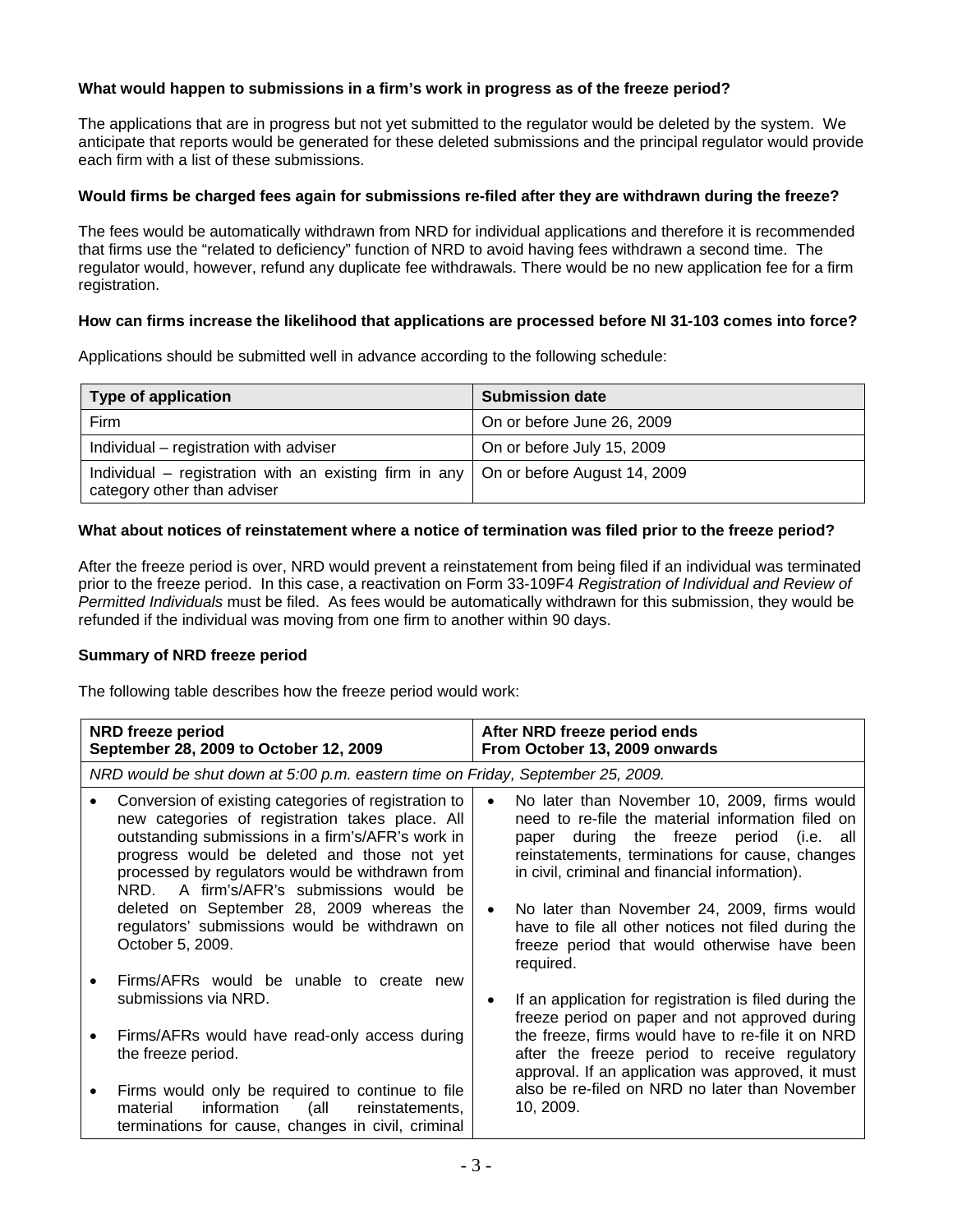# **What would happen to submissions in a firm's work in progress as of the freeze period?**

The applications that are in progress but not yet submitted to the regulator would be deleted by the system. We anticipate that reports would be generated for these deleted submissions and the principal regulator would provide each firm with a list of these submissions.

### **Would firms be charged fees again for submissions re-filed after they are withdrawn during the freeze?**

The fees would be automatically withdrawn from NRD for individual applications and therefore it is recommended that firms use the "related to deficiency" function of NRD to avoid having fees withdrawn a second time. The regulator would, however, refund any duplicate fee withdrawals. There would be no new application fee for a firm registration.

### **How can firms increase the likelihood that applications are processed before NI 31-103 comes into force?**

Applications should be submitted well in advance according to the following schedule:

| <b>Type of application</b>                                                                                                 | <b>Submission date</b>     |
|----------------------------------------------------------------------------------------------------------------------------|----------------------------|
| Firm                                                                                                                       | On or before June 26, 2009 |
| Individual – registration with adviser                                                                                     | On or before July 15, 2009 |
| Individual – registration with an existing firm in any $\vert$ On or before August 14, 2009<br>category other than adviser |                            |

## **What about notices of reinstatement where a notice of termination was filed prior to the freeze period?**

After the freeze period is over, NRD would prevent a reinstatement from being filed if an individual was terminated prior to the freeze period. In this case, a reactivation on Form 33-109F4 *Registration of Individual and Review of Permitted Individuals* must be filed. As fees would be automatically withdrawn for this submission, they would be refunded if the individual was moving from one firm to another within 90 days.

## **Summary of NRD freeze period**

The following table describes how the freeze period would work:

| NRD freeze period<br>September 28, 2009 to October 12, 2009                                                                                                                                                                                                                                                                                                                                                                  | After NRD freeze period ends<br>From October 13, 2009 onwards |                                                                                                                                                                                                                                                                                                                                                                                                                              |
|------------------------------------------------------------------------------------------------------------------------------------------------------------------------------------------------------------------------------------------------------------------------------------------------------------------------------------------------------------------------------------------------------------------------------|---------------------------------------------------------------|------------------------------------------------------------------------------------------------------------------------------------------------------------------------------------------------------------------------------------------------------------------------------------------------------------------------------------------------------------------------------------------------------------------------------|
| NRD would be shut down at 5:00 p.m. eastern time on Friday, September 25, 2009.                                                                                                                                                                                                                                                                                                                                              |                                                               |                                                                                                                                                                                                                                                                                                                                                                                                                              |
| Conversion of existing categories of registration to<br>new categories of registration takes place. All<br>outstanding submissions in a firm's/AFR's work in<br>progress would be deleted and those not yet<br>processed by regulators would be withdrawn from<br>NRD. A firm's/AFR's submissions would be<br>deleted on September 28, 2009 whereas the<br>regulators' submissions would be withdrawn on<br>October 5, 2009. |                                                               | No later than November 10, 2009, firms would<br>need to re-file the material information filed on<br>during the freeze period (i.e.<br>all<br>paper<br>reinstatements, terminations for cause, changes<br>in civil, criminal and financial information).<br>No later than November 24, 2009, firms would<br>have to file all other notices not filed during the<br>freeze period that would otherwise have been<br>required. |
| Firms/AFRs would be unable to create new<br>submissions via NRD.                                                                                                                                                                                                                                                                                                                                                             |                                                               | If an application for registration is filed during the<br>freeze period on paper and not approved during                                                                                                                                                                                                                                                                                                                     |
| Firms/AFRs would have read-only access during<br>the freeze period.                                                                                                                                                                                                                                                                                                                                                          |                                                               | the freeze, firms would have to re-file it on NRD<br>after the freeze period to receive regulatory<br>approval. If an application was approved, it must                                                                                                                                                                                                                                                                      |
| Firms would only be required to continue to file<br>material<br>information<br>(all<br>reinstatements,<br>terminations for cause, changes in civil, criminal                                                                                                                                                                                                                                                                 |                                                               | also be re-filed on NRD no later than November<br>10, 2009.                                                                                                                                                                                                                                                                                                                                                                  |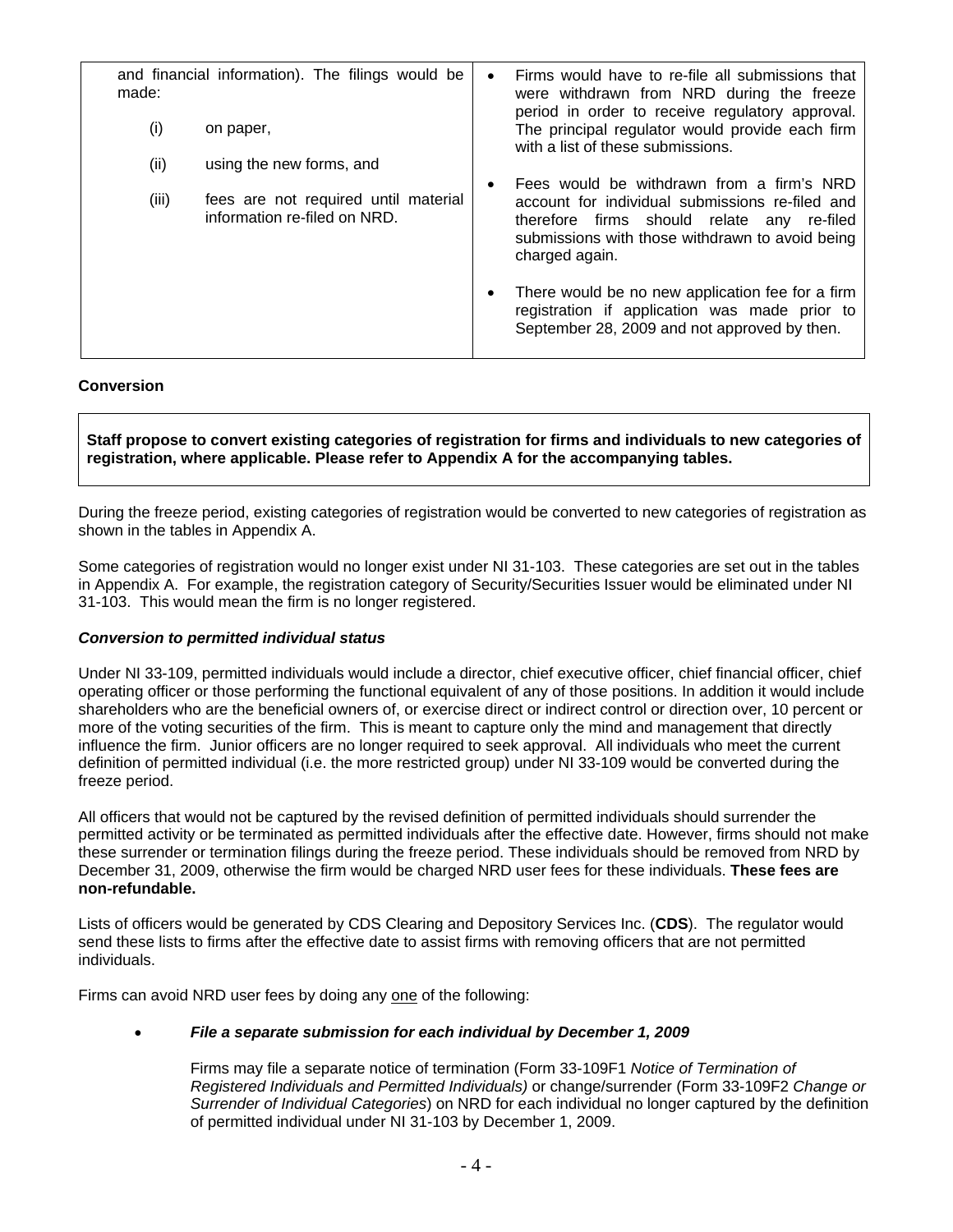| made: | and financial information). The filings would be                     | $\bullet$ | Firms would have to re-file all submissions that<br>were withdrawn from NRD during the freeze                                                                      |
|-------|----------------------------------------------------------------------|-----------|--------------------------------------------------------------------------------------------------------------------------------------------------------------------|
| (i)   | on paper,                                                            |           | period in order to receive regulatory approval.<br>The principal regulator would provide each firm<br>with a list of these submissions.                            |
| (ii)  | using the new forms, and                                             |           |                                                                                                                                                                    |
|       |                                                                      | $\bullet$ | Fees would be withdrawn from a firm's NRD                                                                                                                          |
| (iii) | fees are not required until material<br>information re-filed on NRD. |           | account for individual submissions re-filed and<br>therefore firms should relate any re-filed<br>submissions with those withdrawn to avoid being<br>charged again. |
|       |                                                                      | $\bullet$ | There would be no new application fee for a firm<br>registration if application was made prior to<br>September 28, 2009 and not approved by then.                  |

### **Conversion**

**Staff propose to convert existing categories of registration for firms and individuals to new categories of registration, where applicable. Please refer to Appendix A for the accompanying tables.** 

During the freeze period, existing categories of registration would be converted to new categories of registration as shown in the tables in Appendix A.

Some categories of registration would no longer exist under NI 31-103. These categories are set out in the tables in Appendix A. For example, the registration category of Security/Securities Issuer would be eliminated under NI 31-103. This would mean the firm is no longer registered.

#### *Conversion to permitted individual status*

Under NI 33-109, permitted individuals would include a director, chief executive officer, chief financial officer, chief operating officer or those performing the functional equivalent of any of those positions. In addition it would include shareholders who are the beneficial owners of, or exercise direct or indirect control or direction over, 10 percent or more of the voting securities of the firm. This is meant to capture only the mind and management that directly influence the firm. Junior officers are no longer required to seek approval. All individuals who meet the current definition of permitted individual (i.e. the more restricted group) under NI 33-109 would be converted during the freeze period.

All officers that would not be captured by the revised definition of permitted individuals should surrender the permitted activity or be terminated as permitted individuals after the effective date. However, firms should not make these surrender or termination filings during the freeze period. These individuals should be removed from NRD by December 31, 2009, otherwise the firm would be charged NRD user fees for these individuals. **These fees are non-refundable.**

Lists of officers would be generated by CDS Clearing and Depository Services Inc. (**CDS**). The regulator would send these lists to firms after the effective date to assist firms with removing officers that are not permitted individuals.

Firms can avoid NRD user fees by doing any one of the following:

## • *File a separate submission for each individual by December 1, 2009*

Firms may file a separate notice of termination (Form 33-109F1 *Notice of Termination of Registered Individuals and Permitted Individuals)* or change/surrender (Form 33-109F2 *Change or Surrender of Individual Categories*) on NRD for each individual no longer captured by the definition of permitted individual under NI 31-103 by December 1, 2009.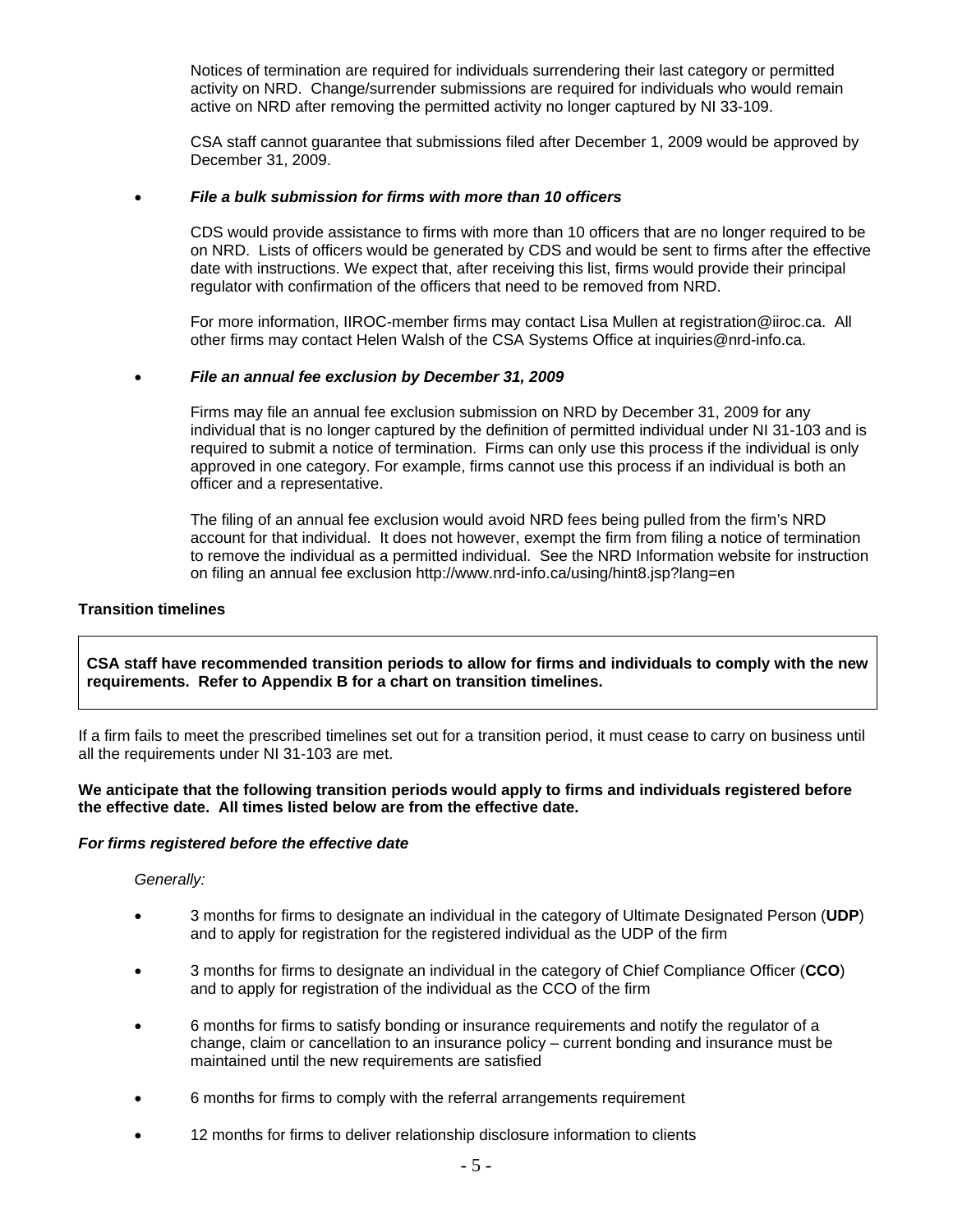Notices of termination are required for individuals surrendering their last category or permitted activity on NRD. Change/surrender submissions are required for individuals who would remain active on NRD after removing the permitted activity no longer captured by NI 33-109.

CSA staff cannot guarantee that submissions filed after December 1, 2009 would be approved by December 31, 2009.

### • *File a bulk submission for firms with more than 10 officers*

CDS would provide assistance to firms with more than 10 officers that are no longer required to be on NRD. Lists of officers would be generated by CDS and would be sent to firms after the effective date with instructions. We expect that, after receiving this list, firms would provide their principal regulator with confirmation of the officers that need to be removed from NRD.

For more information, IIROC-member firms may contact Lisa Mullen at registration@iiroc.ca. All other firms may contact Helen Walsh of the CSA Systems Office at inquiries@nrd-info.ca.

#### • *File an annual fee exclusion by December 31, 2009*

Firms may file an annual fee exclusion submission on NRD by December 31, 2009 for any individual that is no longer captured by the definition of permitted individual under NI 31-103 and is required to submit a notice of termination. Firms can only use this process if the individual is only approved in one category. For example, firms cannot use this process if an individual is both an officer and a representative.

The filing of an annual fee exclusion would avoid NRD fees being pulled from the firm's NRD account for that individual. It does not however, exempt the firm from filing a notice of termination to remove the individual as a permitted individual. See the NRD Information website for instruction on filing an annual fee exclusion http://www.nrd-info.ca/using/hint8.jsp?lang=en

### **Transition timelines**

**CSA staff have recommended transition periods to allow for firms and individuals to comply with the new requirements. Refer to Appendix B for a chart on transition timelines.** 

If a firm fails to meet the prescribed timelines set out for a transition period, it must cease to carry on business until all the requirements under NI 31-103 are met.

#### **We anticipate that the following transition periods would apply to firms and individuals registered before the effective date. All times listed below are from the effective date.**

#### *For firms registered before the effective date*

#### *Generally:*

- 3 months for firms to designate an individual in the category of Ultimate Designated Person (**UDP**) and to apply for registration for the registered individual as the UDP of the firm
- 3 months for firms to designate an individual in the category of Chief Compliance Officer (**CCO**) and to apply for registration of the individual as the CCO of the firm
- 6 months for firms to satisfy bonding or insurance requirements and notify the regulator of a change, claim or cancellation to an insurance policy – current bonding and insurance must be maintained until the new requirements are satisfied
- 6 months for firms to comply with the referral arrangements requirement
- 12 months for firms to deliver relationship disclosure information to clients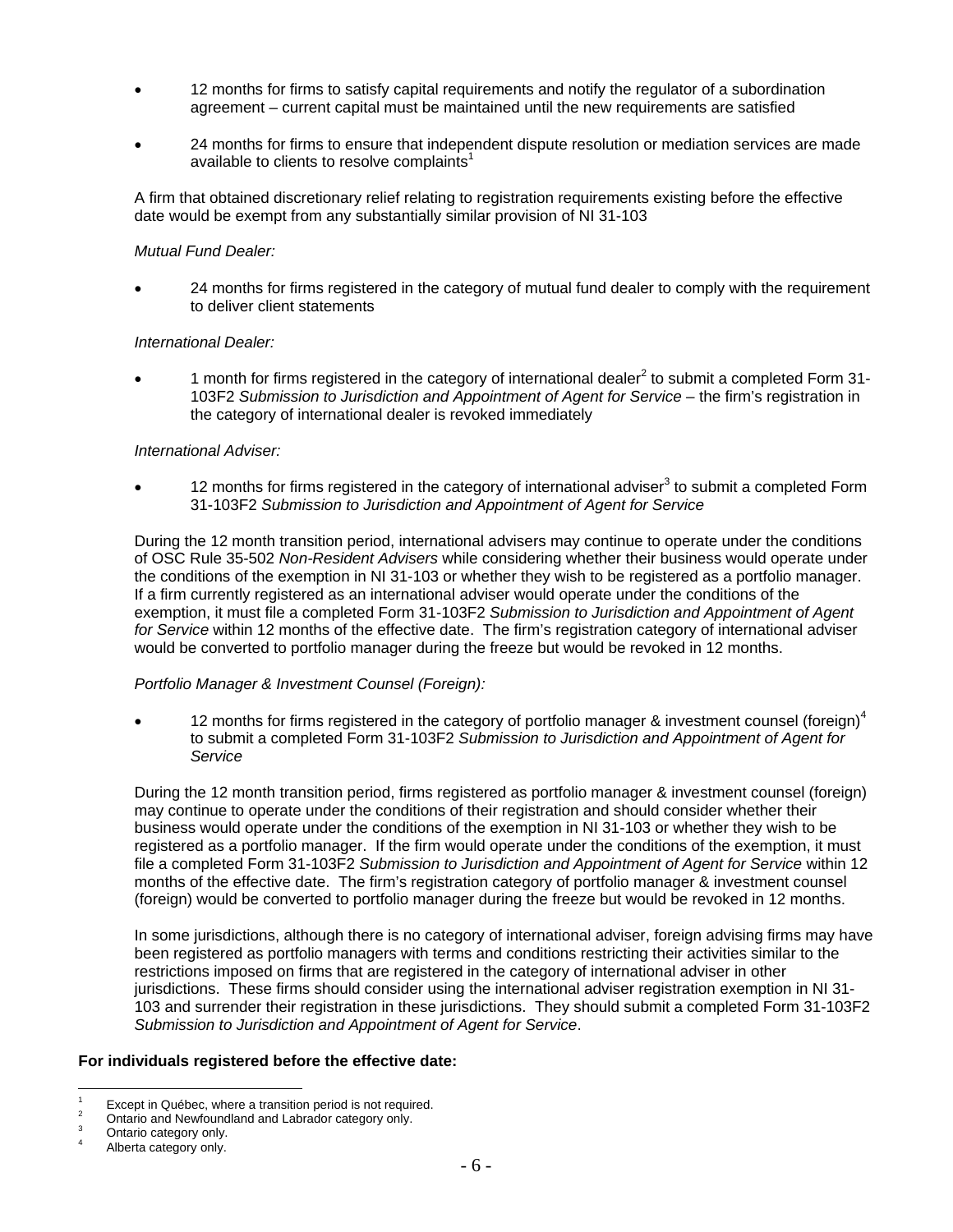- 12 months for firms to satisfy capital requirements and notify the regulator of a subordination agreement – current capital must be maintained until the new requirements are satisfied
- 24 months for firms to ensure that independent dispute resolution or mediation services are made available to clients to resolve complaints $<sup>1</sup>$ </sup>

A firm that obtained discretionary relief relating to registration requirements existing before the effective date would be exempt from any substantially similar provision of NI 31-103

#### *Mutual Fund Dealer:*

• 24 months for firms registered in the category of mutual fund dealer to comply with the requirement to deliver client statements

### *International Dealer:*

• 1 month for firms registered in the category of international dealer<sup>2</sup> to submit a completed Form 31-103F2 *Submission to Jurisdiction and Appointment of Agent for Service* – the firm's registration in the category of international dealer is revoked immediately

#### *International Adviser:*

 $\bullet$  12 months for firms registered in the category of international adviser<sup>3</sup> to submit a completed Form 31-103F2 *Submission to Jurisdiction and Appointment of Agent for Service*

During the 12 month transition period, international advisers may continue to operate under the conditions of OSC Rule 35-502 *Non-Resident Advisers* while considering whether their business would operate under the conditions of the exemption in NI 31-103 or whether they wish to be registered as a portfolio manager. If a firm currently registered as an international adviser would operate under the conditions of the exemption, it must file a completed Form 31-103F2 *Submission to Jurisdiction and Appointment of Agent for Service* within 12 months of the effective date. The firm's registration category of international adviser would be converted to portfolio manager during the freeze but would be revoked in 12 months.

#### *Portfolio Manager & Investment Counsel (Foreign):*

12 months for firms registered in the category of portfolio manager & investment counsel (foreign)<sup>4</sup> to submit a completed Form 31-103F2 *Submission to Jurisdiction and Appointment of Agent for Service*

During the 12 month transition period, firms registered as portfolio manager & investment counsel (foreign) may continue to operate under the conditions of their registration and should consider whether their business would operate under the conditions of the exemption in NI 31-103 or whether they wish to be registered as a portfolio manager. If the firm would operate under the conditions of the exemption, it must file a completed Form 31-103F2 *Submission to Jurisdiction and Appointment of Agent for Service* within 12 months of the effective date. The firm's registration category of portfolio manager & investment counsel (foreign) would be converted to portfolio manager during the freeze but would be revoked in 12 months.

In some jurisdictions, although there is no category of international adviser, foreign advising firms may have been registered as portfolio managers with terms and conditions restricting their activities similar to the restrictions imposed on firms that are registered in the category of international adviser in other jurisdictions. These firms should consider using the international adviser registration exemption in NI 31- 103 and surrender their registration in these jurisdictions. They should submit a completed Form 31-103F2 *Submission to Jurisdiction and Appointment of Agent for Service*.

### **For individuals registered before the effective date:**

 $\frac{1}{1}$  Except in Québec, where a transition period is not required. 2

Ontario and Newfoundland and Labrador category only. 3

Ontario category only.

<sup>4</sup> Alberta category only.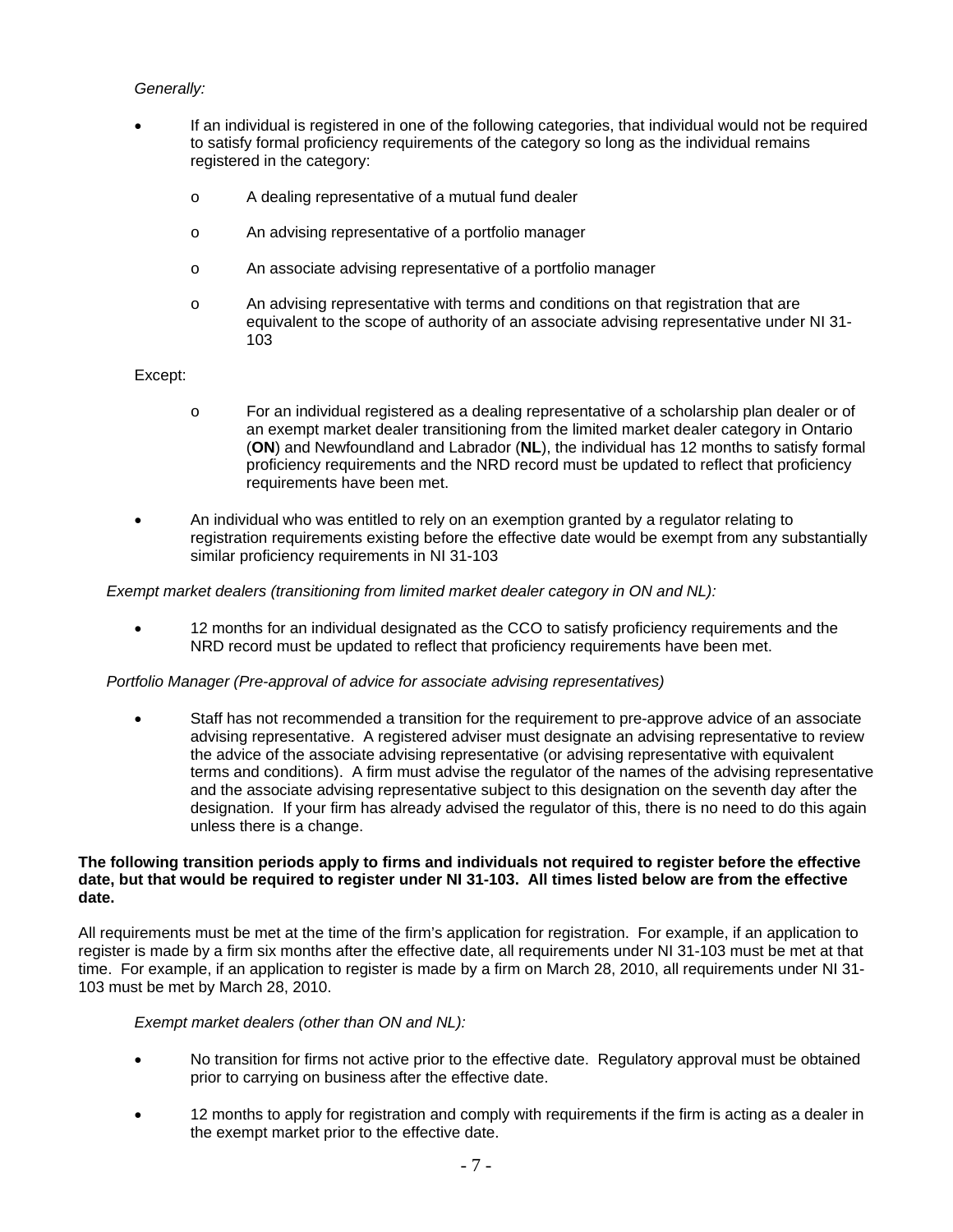### *Generally:*

- If an individual is registered in one of the following categories, that individual would not be required to satisfy formal proficiency requirements of the category so long as the individual remains registered in the category:
	- o A dealing representative of a mutual fund dealer
	- o An advising representative of a portfolio manager
	- o An associate advising representative of a portfolio manager
	- o An advising representative with terms and conditions on that registration that are equivalent to the scope of authority of an associate advising representative under NI 31- 103

### Except:

- o For an individual registered as a dealing representative of a scholarship plan dealer or of an exempt market dealer transitioning from the limited market dealer category in Ontario (**ON**) and Newfoundland and Labrador (**NL**), the individual has 12 months to satisfy formal proficiency requirements and the NRD record must be updated to reflect that proficiency requirements have been met.
- An individual who was entitled to rely on an exemption granted by a regulator relating to registration requirements existing before the effective date would be exempt from any substantially similar proficiency requirements in NI 31-103

*Exempt market dealers (transitioning from limited market dealer category in ON and NL):* 

• 12 months for an individual designated as the CCO to satisfy proficiency requirements and the NRD record must be updated to reflect that proficiency requirements have been met.

#### *Portfolio Manager (Pre-approval of advice for associate advising representatives)*

• Staff has not recommended a transition for the requirement to pre-approve advice of an associate advising representative. A registered adviser must designate an advising representative to review the advice of the associate advising representative (or advising representative with equivalent terms and conditions). A firm must advise the regulator of the names of the advising representative and the associate advising representative subject to this designation on the seventh day after the designation. If your firm has already advised the regulator of this, there is no need to do this again unless there is a change.

#### **The following transition periods apply to firms and individuals not required to register before the effective date, but that would be required to register under NI 31-103. All times listed below are from the effective date.**

All requirements must be met at the time of the firm's application for registration. For example, if an application to register is made by a firm six months after the effective date, all requirements under NI 31-103 must be met at that time. For example, if an application to register is made by a firm on March 28, 2010, all requirements under NI 31- 103 must be met by March 28, 2010.

#### *Exempt market dealers (other than ON and NL):*

- No transition for firms not active prior to the effective date. Regulatory approval must be obtained prior to carrying on business after the effective date.
- 12 months to apply for registration and comply with requirements if the firm is acting as a dealer in the exempt market prior to the effective date.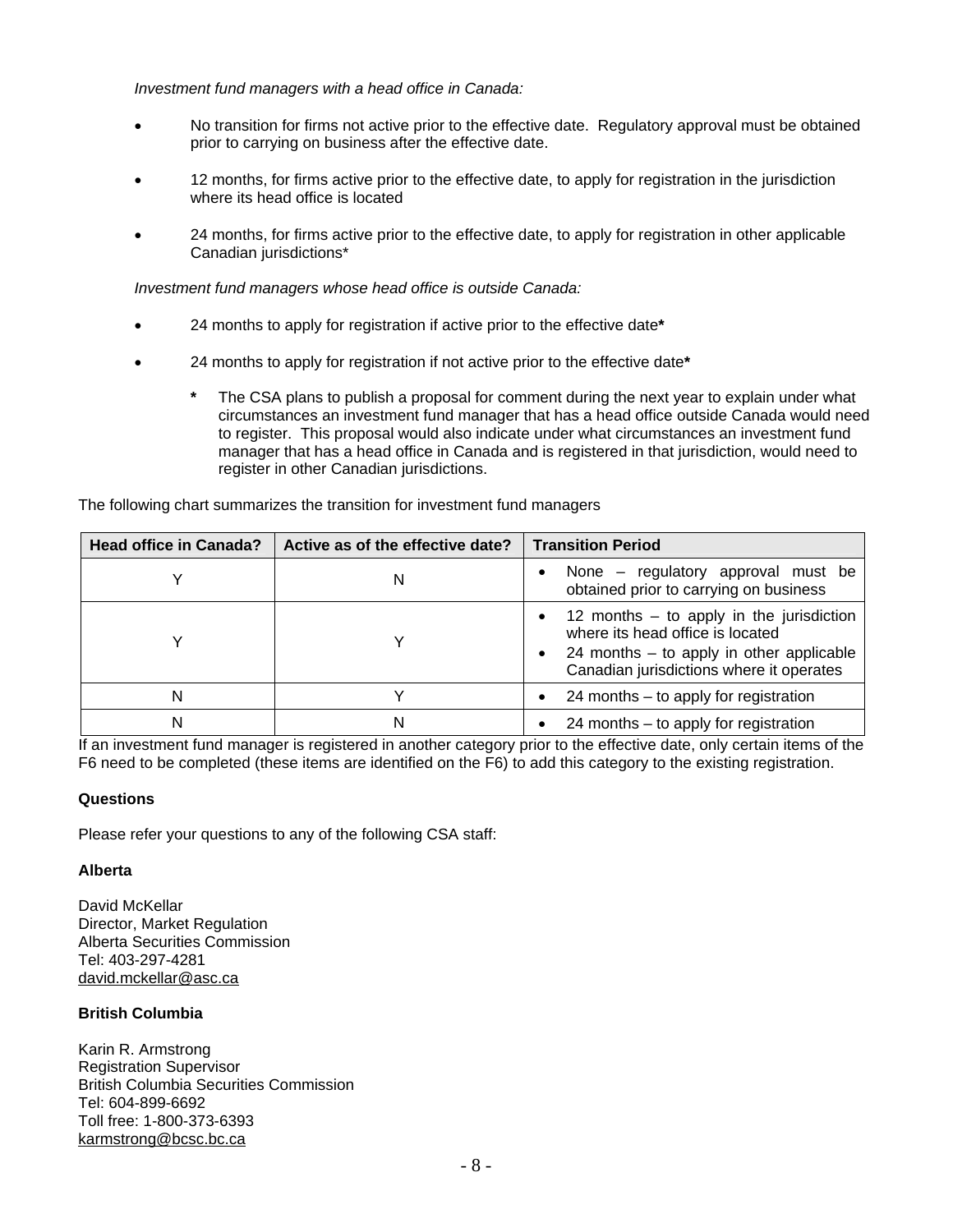*Investment fund managers with a head office in Canada:* 

- No transition for firms not active prior to the effective date. Regulatory approval must be obtained prior to carrying on business after the effective date.
- 12 months, for firms active prior to the effective date, to apply for registration in the jurisdiction where its head office is located
- 24 months, for firms active prior to the effective date, to apply for registration in other applicable Canadian jurisdictions\*

*Investment fund managers whose head office is outside Canada:* 

- 24 months to apply for registration if active prior to the effective date**\***
- 24 months to apply for registration if not active prior to the effective date**\***
	- **\*** The CSA plans to publish a proposal for comment during the next year to explain under what circumstances an investment fund manager that has a head office outside Canada would need to register. This proposal would also indicate under what circumstances an investment fund manager that has a head office in Canada and is registered in that jurisdiction, would need to register in other Canadian jurisdictions.

| <b>Head office in Canada?</b> | Active as of the effective date? | <b>Transition Period</b>                                                                                                                                                 |
|-------------------------------|----------------------------------|--------------------------------------------------------------------------------------------------------------------------------------------------------------------------|
|                               | N                                | None – regulatory approval must be<br>obtained prior to carrying on business                                                                                             |
|                               |                                  | 12 months $-$ to apply in the jurisdiction<br>where its head office is located<br>24 months $-$ to apply in other applicable<br>Canadian jurisdictions where it operates |
|                               |                                  | 24 months $-$ to apply for registration                                                                                                                                  |
|                               | N                                | 24 months $-$ to apply for registration                                                                                                                                  |

The following chart summarizes the transition for investment fund managers

If an investment fund manager is registered in another category prior to the effective date, only certain items of the F6 need to be completed (these items are identified on the F6) to add this category to the existing registration.

### **Questions**

Please refer your questions to any of the following CSA staff:

#### **Alberta**

David McKellar Director, Market Regulation Alberta Securities Commission Tel: 403-297-4281 david.mckellar@asc.ca

### **British Columbia**

Karin R. Armstrong Registration Supervisor British Columbia Securities Commission Tel: 604-899-6692 Toll free: 1-800-373-6393 karmstrong@bcsc.bc.ca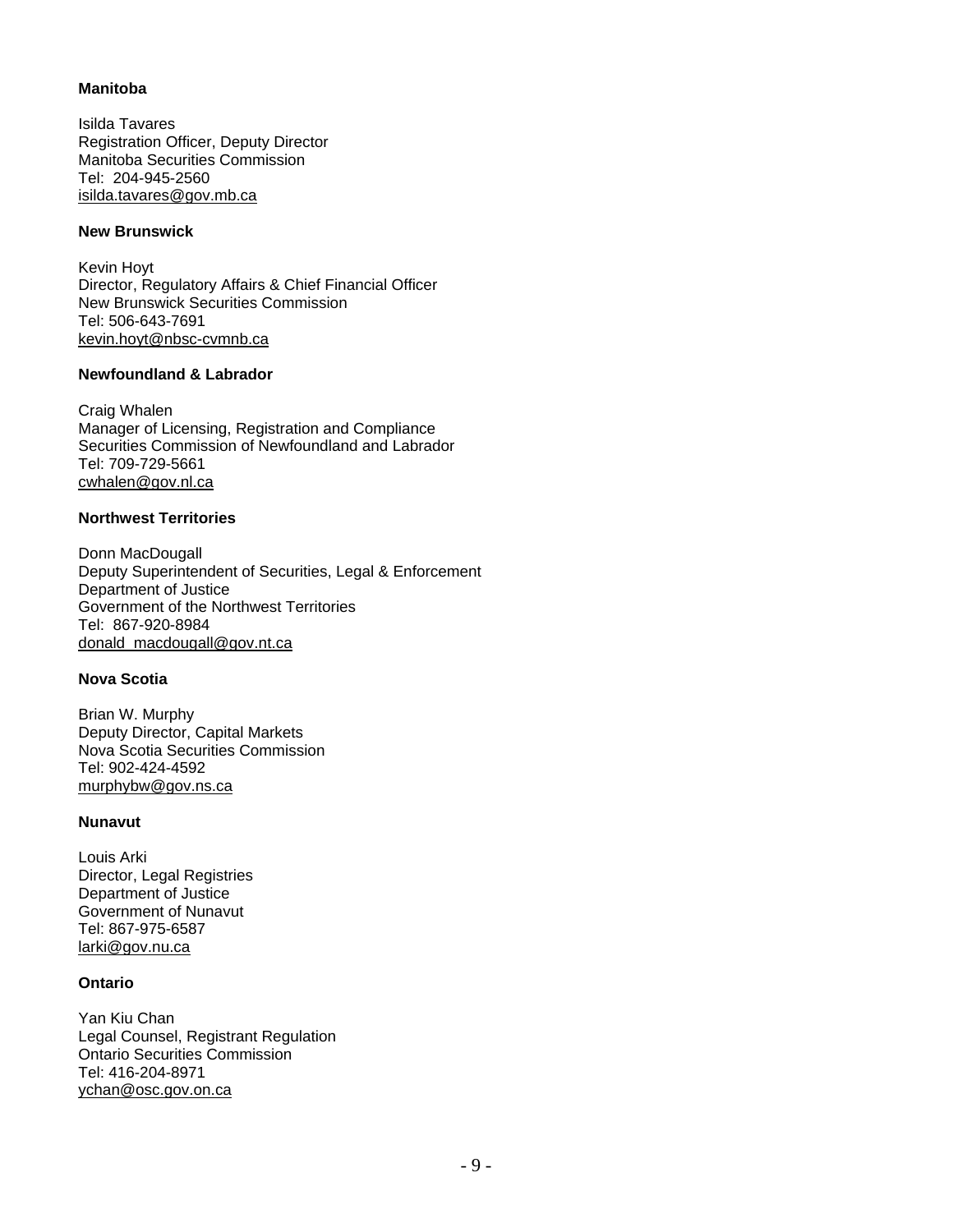## **Manitoba**

Isilda Tavares Registration Officer, Deputy Director Manitoba Securities Commission Tel: 204-945-2560 isilda.tavares@gov.mb.ca

## **New Brunswick**

Kevin Hoyt Director, Regulatory Affairs & Chief Financial Officer New Brunswick Securities Commission Tel: 506-643-7691 kevin.hoyt@nbsc-cvmnb.ca

# **Newfoundland & Labrador**

Craig Whalen Manager of Licensing, Registration and Compliance Securities Commission of Newfoundland and Labrador Tel: 709-729-5661 cwhalen@gov.nl.ca

### **Northwest Territories**

Donn MacDougall Deputy Superintendent of Securities, Legal & Enforcement Department of Justice Government of the Northwest Territories Tel: 867-920-8984 donald\_macdougall@gov.nt.ca

# **Nova Scotia**

Brian W. Murphy Deputy Director, Capital Markets Nova Scotia Securities Commission Tel: 902-424-4592 murphybw@gov.ns.ca

#### **Nunavut**

Louis Arki Director, Legal Registries Department of Justice Government of Nunavut Tel: 867-975-6587 larki@gov.nu.ca

#### **Ontario**

Yan Kiu Chan Legal Counsel, Registrant Regulation Ontario Securities Commission Tel: 416-204-8971 ychan@osc.gov.on.ca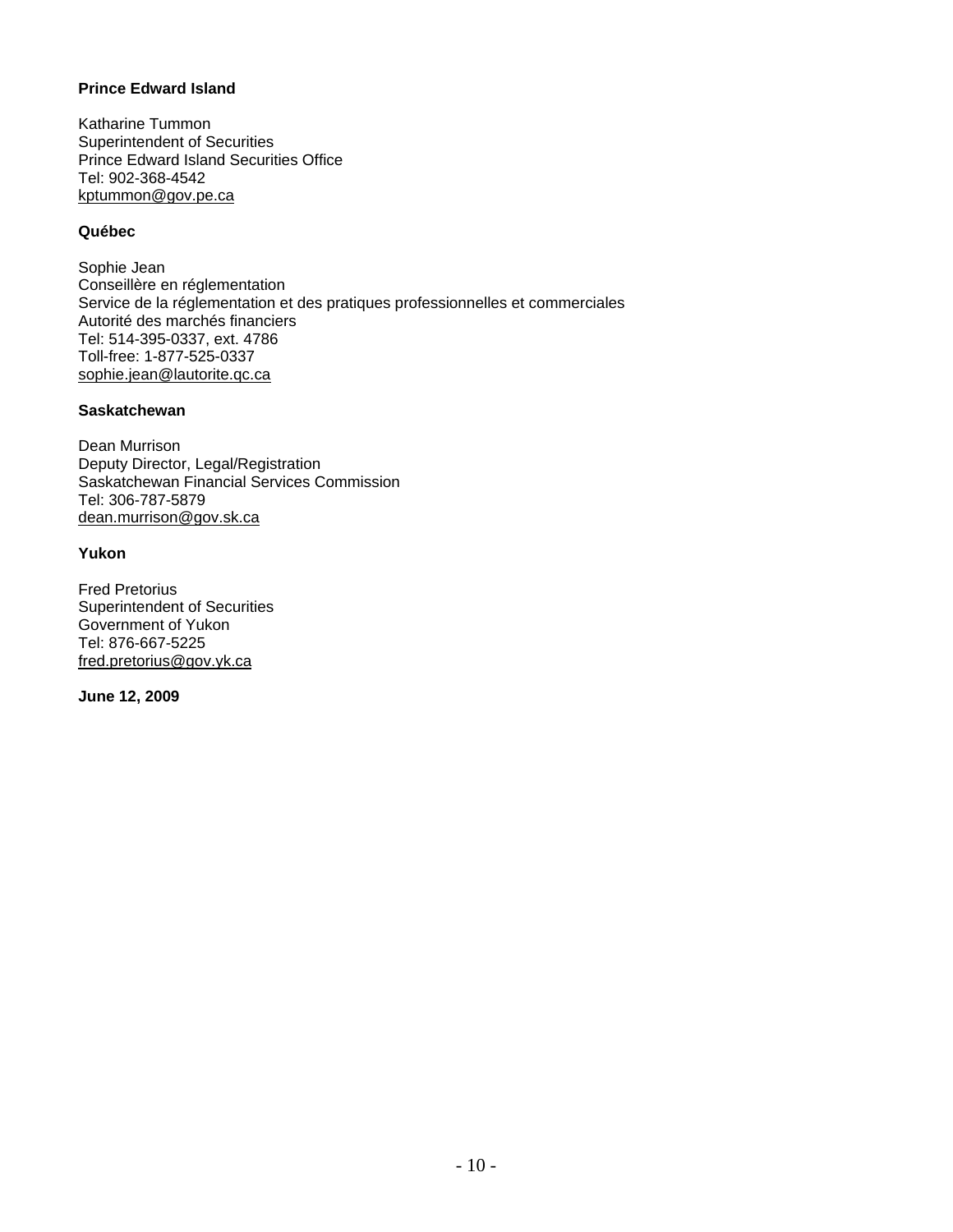# **Prince Edward Island**

Katharine Tummon Superintendent of Securities Prince Edward Island Securities Office Tel: 902-368-4542 kptummon@gov.pe.ca

### **Québec**

Sophie Jean Conseillère en réglementation Service de la réglementation et des pratiques professionnelles et commerciales Autorité des marchés financiers Tel: 514-395-0337, ext. 4786 Toll-free: 1-877-525-0337 sophie.jean@lautorite.qc.ca

### **Saskatchewan**

Dean Murrison Deputy Director, Legal/Registration Saskatchewan Financial Services Commission Tel: 306-787-5879 dean.murrison@gov.sk.ca

### **Yukon**

Fred Pretorius Superintendent of Securities Government of Yukon Tel: 876-667-5225 fred.pretorius@gov.yk.ca

**June 12, 2009**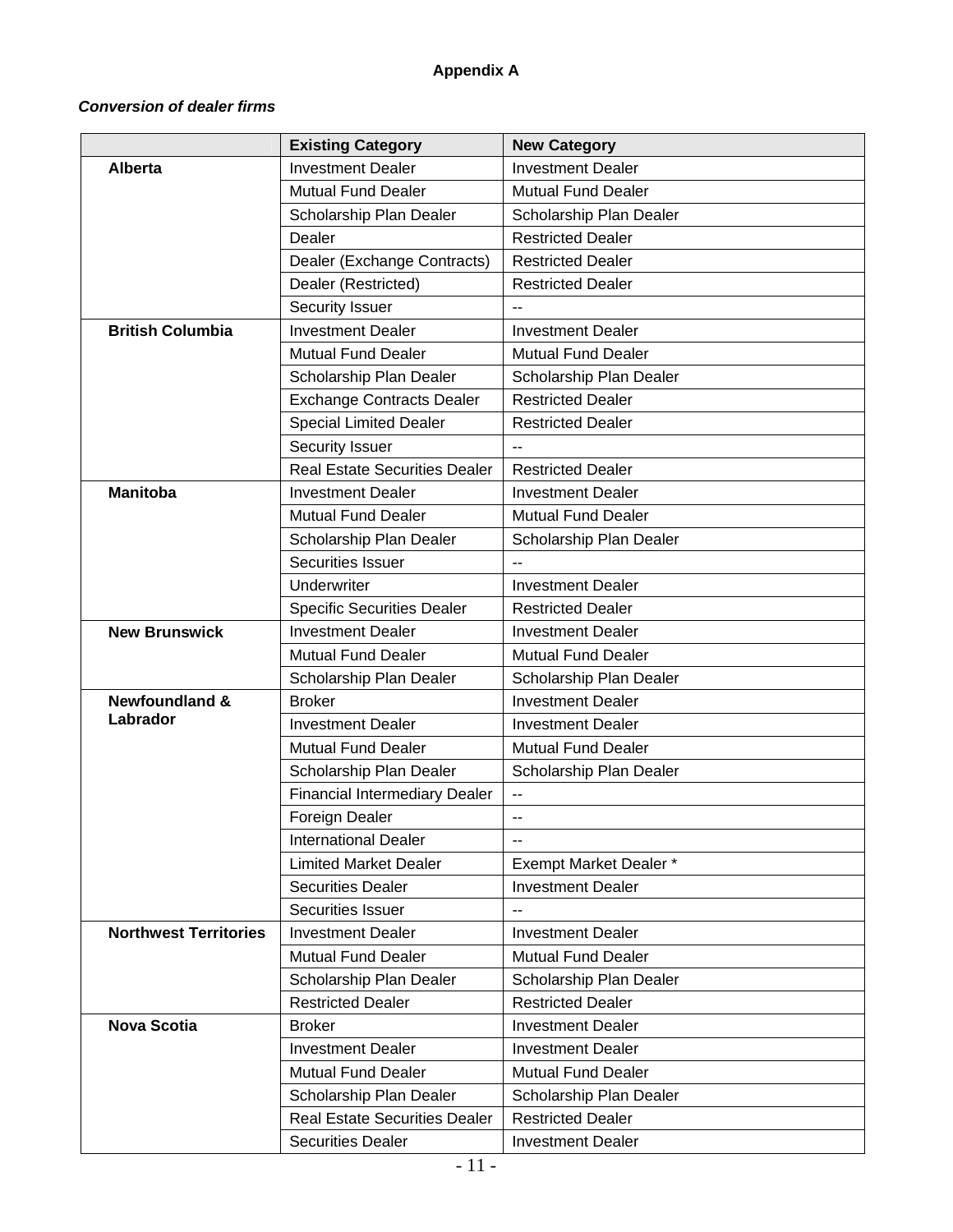# **Appendix A**

# *Conversion of dealer firms*

|                              | <b>Existing Category</b>             | <b>New Category</b>       |
|------------------------------|--------------------------------------|---------------------------|
| <b>Alberta</b>               | <b>Investment Dealer</b>             | <b>Investment Dealer</b>  |
|                              | <b>Mutual Fund Dealer</b>            | <b>Mutual Fund Dealer</b> |
|                              | Scholarship Plan Dealer              | Scholarship Plan Dealer   |
|                              | Dealer                               | <b>Restricted Dealer</b>  |
|                              | Dealer (Exchange Contracts)          | <b>Restricted Dealer</b>  |
|                              | Dealer (Restricted)                  | <b>Restricted Dealer</b>  |
|                              | Security Issuer                      | $-$                       |
| <b>British Columbia</b>      | <b>Investment Dealer</b>             | <b>Investment Dealer</b>  |
|                              | <b>Mutual Fund Dealer</b>            | Mutual Fund Dealer        |
|                              | Scholarship Plan Dealer              | Scholarship Plan Dealer   |
|                              | <b>Exchange Contracts Dealer</b>     | <b>Restricted Dealer</b>  |
|                              | <b>Special Limited Dealer</b>        | <b>Restricted Dealer</b>  |
|                              | Security Issuer                      |                           |
|                              | <b>Real Estate Securities Dealer</b> | <b>Restricted Dealer</b>  |
| <b>Manitoba</b>              | <b>Investment Dealer</b>             | <b>Investment Dealer</b>  |
|                              | <b>Mutual Fund Dealer</b>            | <b>Mutual Fund Dealer</b> |
|                              | Scholarship Plan Dealer              | Scholarship Plan Dealer   |
|                              | Securities Issuer                    | $\overline{\phantom{a}}$  |
|                              | Underwriter                          | <b>Investment Dealer</b>  |
|                              | <b>Specific Securities Dealer</b>    | <b>Restricted Dealer</b>  |
| <b>New Brunswick</b>         | <b>Investment Dealer</b>             | <b>Investment Dealer</b>  |
|                              | <b>Mutual Fund Dealer</b>            | <b>Mutual Fund Dealer</b> |
|                              | Scholarship Plan Dealer              | Scholarship Plan Dealer   |
| <b>Newfoundland &amp;</b>    | <b>Broker</b>                        | <b>Investment Dealer</b>  |
| Labrador                     | <b>Investment Dealer</b>             | <b>Investment Dealer</b>  |
|                              | <b>Mutual Fund Dealer</b>            | <b>Mutual Fund Dealer</b> |
|                              | Scholarship Plan Dealer              | Scholarship Plan Dealer   |
|                              | <b>Financial Intermediary Dealer</b> | --                        |
|                              | Foreign Dealer                       | --                        |
|                              | <b>International Dealer</b>          |                           |
|                              | <b>Limited Market Dealer</b>         | Exempt Market Dealer *    |
|                              | <b>Securities Dealer</b>             | <b>Investment Dealer</b>  |
|                              | Securities Issuer                    | $\overline{\phantom{a}}$  |
| <b>Northwest Territories</b> | <b>Investment Dealer</b>             | <b>Investment Dealer</b>  |
|                              | <b>Mutual Fund Dealer</b>            | <b>Mutual Fund Dealer</b> |
|                              | Scholarship Plan Dealer              | Scholarship Plan Dealer   |
|                              | <b>Restricted Dealer</b>             | <b>Restricted Dealer</b>  |
| <b>Nova Scotia</b>           | <b>Broker</b>                        | <b>Investment Dealer</b>  |
|                              | <b>Investment Dealer</b>             | <b>Investment Dealer</b>  |
|                              | <b>Mutual Fund Dealer</b>            | <b>Mutual Fund Dealer</b> |
|                              | Scholarship Plan Dealer              | Scholarship Plan Dealer   |
|                              | <b>Real Estate Securities Dealer</b> | <b>Restricted Dealer</b>  |
|                              | <b>Securities Dealer</b>             | <b>Investment Dealer</b>  |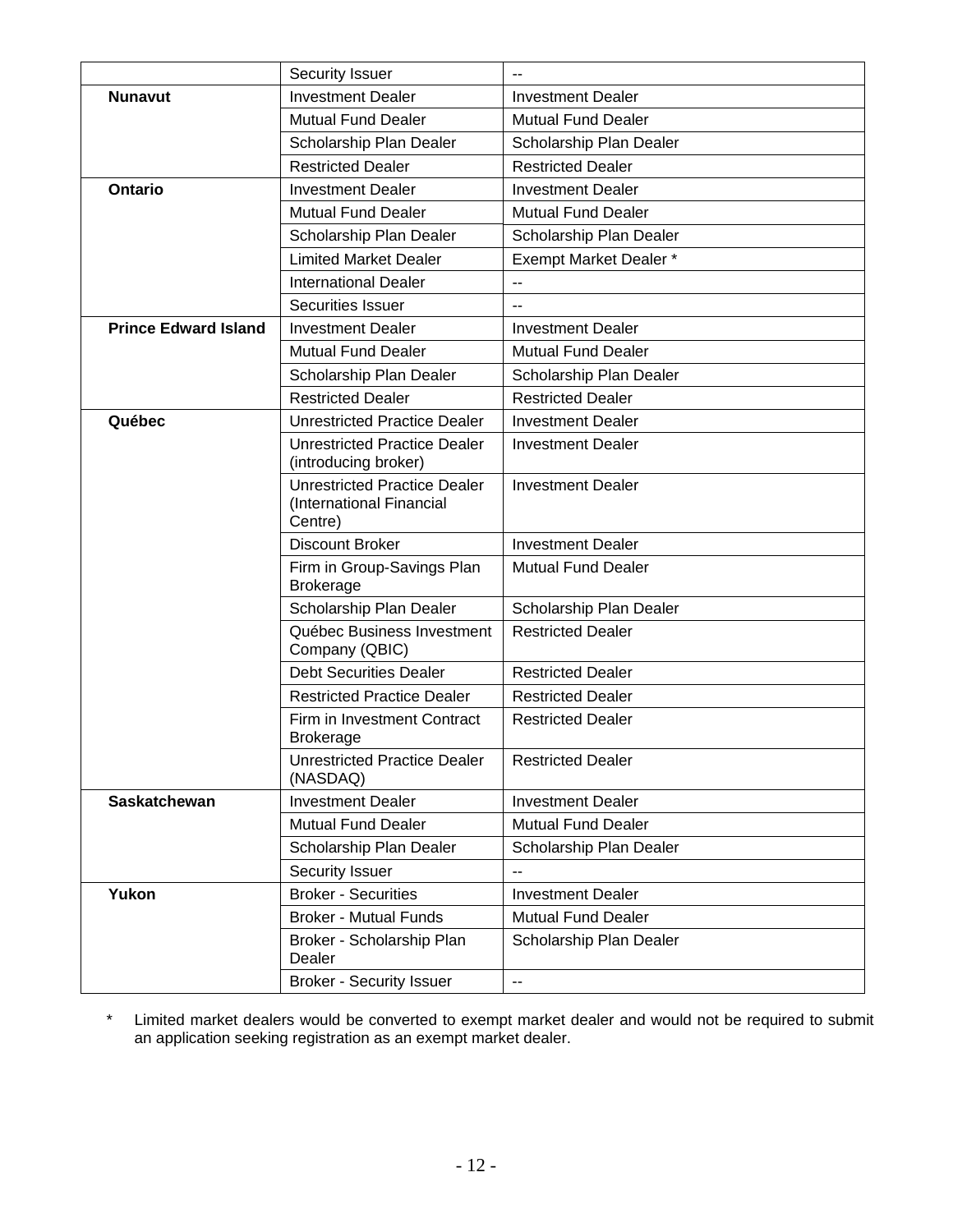|                             | Security Issuer                                                            |                           |
|-----------------------------|----------------------------------------------------------------------------|---------------------------|
| <b>Nunavut</b>              | <b>Investment Dealer</b>                                                   | <b>Investment Dealer</b>  |
|                             | <b>Mutual Fund Dealer</b>                                                  | <b>Mutual Fund Dealer</b> |
|                             | Scholarship Plan Dealer                                                    | Scholarship Plan Dealer   |
|                             | <b>Restricted Dealer</b>                                                   | <b>Restricted Dealer</b>  |
| Ontario                     | <b>Investment Dealer</b>                                                   | <b>Investment Dealer</b>  |
|                             | <b>Mutual Fund Dealer</b>                                                  | <b>Mutual Fund Dealer</b> |
|                             | Scholarship Plan Dealer                                                    | Scholarship Plan Dealer   |
|                             | <b>Limited Market Dealer</b>                                               | Exempt Market Dealer *    |
|                             | <b>International Dealer</b>                                                | $\overline{a}$            |
|                             | Securities Issuer                                                          | $\overline{\phantom{a}}$  |
| <b>Prince Edward Island</b> | <b>Investment Dealer</b>                                                   | <b>Investment Dealer</b>  |
|                             | <b>Mutual Fund Dealer</b>                                                  | <b>Mutual Fund Dealer</b> |
|                             | Scholarship Plan Dealer                                                    | Scholarship Plan Dealer   |
|                             | <b>Restricted Dealer</b>                                                   | <b>Restricted Dealer</b>  |
| Québec                      | <b>Unrestricted Practice Dealer</b>                                        | <b>Investment Dealer</b>  |
|                             | <b>Unrestricted Practice Dealer</b><br>(introducing broker)                | <b>Investment Dealer</b>  |
|                             | <b>Unrestricted Practice Dealer</b><br>(International Financial<br>Centre) | <b>Investment Dealer</b>  |
|                             | <b>Discount Broker</b>                                                     | <b>Investment Dealer</b>  |
|                             | Firm in Group-Savings Plan<br><b>Brokerage</b>                             | <b>Mutual Fund Dealer</b> |
|                             | Scholarship Plan Dealer                                                    | Scholarship Plan Dealer   |
|                             | Québec Business Investment<br>Company (QBIC)                               | <b>Restricted Dealer</b>  |
|                             | <b>Debt Securities Dealer</b>                                              | <b>Restricted Dealer</b>  |
|                             | <b>Restricted Practice Dealer</b>                                          | <b>Restricted Dealer</b>  |
|                             | Firm in Investment Contract<br><b>Brokerage</b>                            | <b>Restricted Dealer</b>  |
|                             | <b>Unrestricted Practice Dealer</b><br>(NASDAQ)                            | <b>Restricted Dealer</b>  |
| Saskatchewan                | <b>Investment Dealer</b>                                                   | <b>Investment Dealer</b>  |
|                             | <b>Mutual Fund Dealer</b>                                                  | <b>Mutual Fund Dealer</b> |
|                             | Scholarship Plan Dealer                                                    | Scholarship Plan Dealer   |
|                             | Security Issuer                                                            | $-$                       |
| Yukon                       | <b>Broker - Securities</b>                                                 | <b>Investment Dealer</b>  |
|                             | <b>Broker - Mutual Funds</b>                                               | <b>Mutual Fund Dealer</b> |
|                             | Broker - Scholarship Plan<br>Dealer                                        | Scholarship Plan Dealer   |
|                             | <b>Broker - Security Issuer</b>                                            | $\overline{\phantom{a}}$  |

\* Limited market dealers would be converted to exempt market dealer and would not be required to submit an application seeking registration as an exempt market dealer.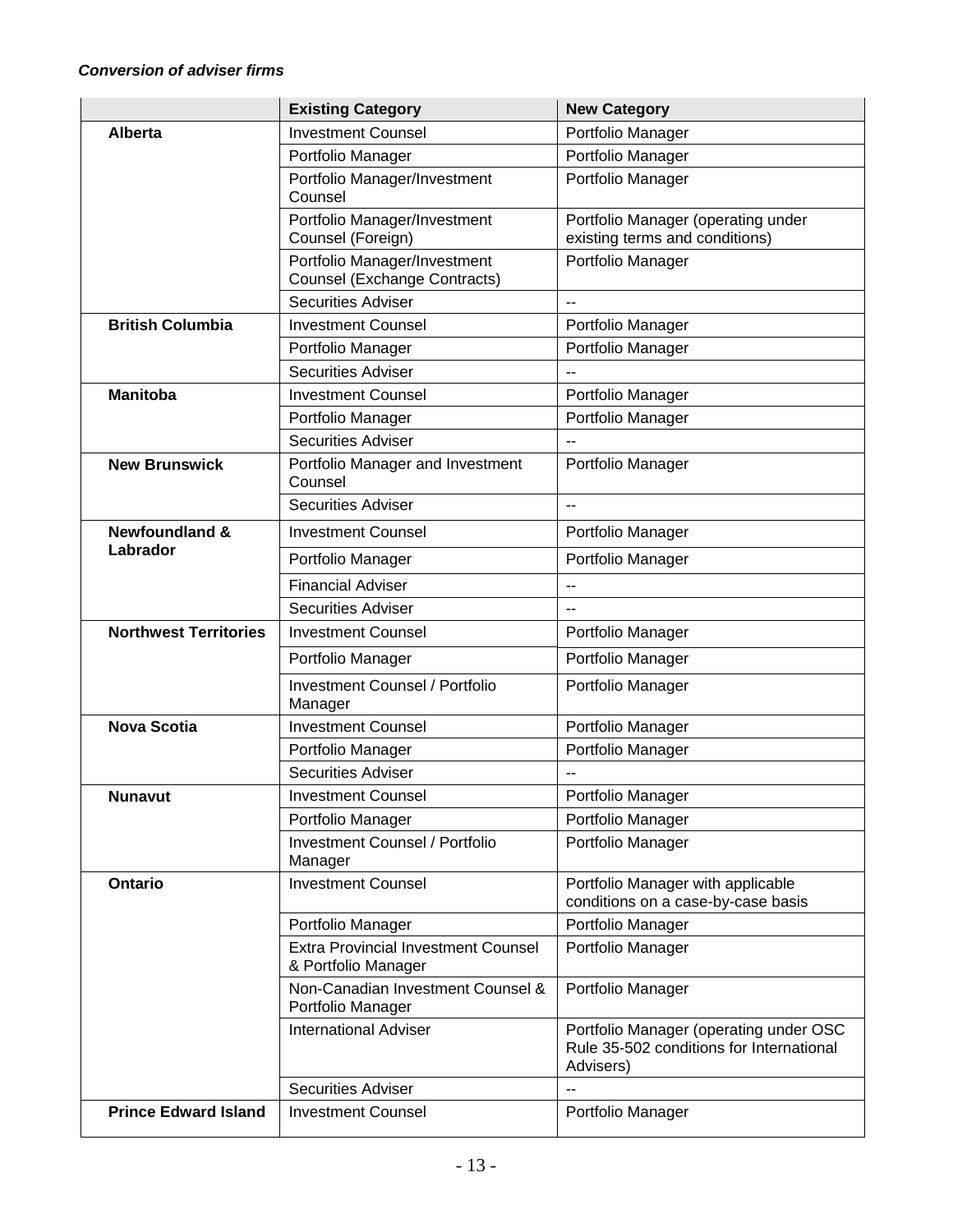|                              | <b>Existing Category</b>                                 | <b>New Category</b>                                                                             |
|------------------------------|----------------------------------------------------------|-------------------------------------------------------------------------------------------------|
| <b>Alberta</b>               | <b>Investment Counsel</b>                                | Portfolio Manager                                                                               |
|                              | Portfolio Manager                                        | Portfolio Manager                                                                               |
|                              | Portfolio Manager/Investment                             | Portfolio Manager                                                                               |
|                              | Counsel                                                  |                                                                                                 |
|                              | Portfolio Manager/Investment<br>Counsel (Foreign)        | Portfolio Manager (operating under<br>existing terms and conditions)                            |
|                              | Portfolio Manager/Investment                             | Portfolio Manager                                                                               |
|                              | <b>Counsel (Exchange Contracts)</b>                      |                                                                                                 |
|                              | <b>Securities Adviser</b>                                |                                                                                                 |
| <b>British Columbia</b>      | <b>Investment Counsel</b>                                | Portfolio Manager                                                                               |
|                              | Portfolio Manager                                        | Portfolio Manager                                                                               |
|                              | <b>Securities Adviser</b>                                |                                                                                                 |
| <b>Manitoba</b>              | <b>Investment Counsel</b>                                | Portfolio Manager                                                                               |
|                              | Portfolio Manager                                        | Portfolio Manager                                                                               |
|                              | <b>Securities Adviser</b>                                |                                                                                                 |
| <b>New Brunswick</b>         | Portfolio Manager and Investment<br>Counsel              | Portfolio Manager                                                                               |
|                              | <b>Securities Adviser</b>                                |                                                                                                 |
| <b>Newfoundland &amp;</b>    | <b>Investment Counsel</b>                                | Portfolio Manager                                                                               |
| Labrador                     | Portfolio Manager                                        | Portfolio Manager                                                                               |
|                              | <b>Financial Adviser</b>                                 | $\overline{a}$                                                                                  |
|                              | <b>Securities Adviser</b>                                |                                                                                                 |
| <b>Northwest Territories</b> | <b>Investment Counsel</b>                                | Portfolio Manager                                                                               |
|                              | Portfolio Manager                                        | Portfolio Manager                                                                               |
|                              | <b>Investment Counsel / Portfolio</b><br>Manager         | Portfolio Manager                                                                               |
| <b>Nova Scotia</b>           | <b>Investment Counsel</b>                                | Portfolio Manager                                                                               |
|                              | Portfolio Manager                                        | Portfolio Manager                                                                               |
|                              | <b>Securities Adviser</b>                                | $\overline{a}$                                                                                  |
| <b>Nunavut</b>               | <b>Investment Counsel</b>                                | Portfolio Manager                                                                               |
|                              | Portfolio Manager                                        | Portfolio Manager                                                                               |
|                              | <b>Investment Counsel / Portfolio</b><br>Manager         | Portfolio Manager                                                                               |
| Ontario                      | <b>Investment Counsel</b>                                | Portfolio Manager with applicable<br>conditions on a case-by-case basis                         |
|                              | Portfolio Manager                                        | Portfolio Manager                                                                               |
|                              | <b>Extra Provincial Investment Counsel</b>               | Portfolio Manager                                                                               |
|                              | & Portfolio Manager<br>Non-Canadian Investment Counsel & |                                                                                                 |
|                              | Portfolio Manager                                        | Portfolio Manager                                                                               |
|                              | <b>International Adviser</b>                             | Portfolio Manager (operating under OSC<br>Rule 35-502 conditions for International<br>Advisers) |
|                              | <b>Securities Adviser</b>                                |                                                                                                 |
| <b>Prince Edward Island</b>  | <b>Investment Counsel</b>                                | Portfolio Manager                                                                               |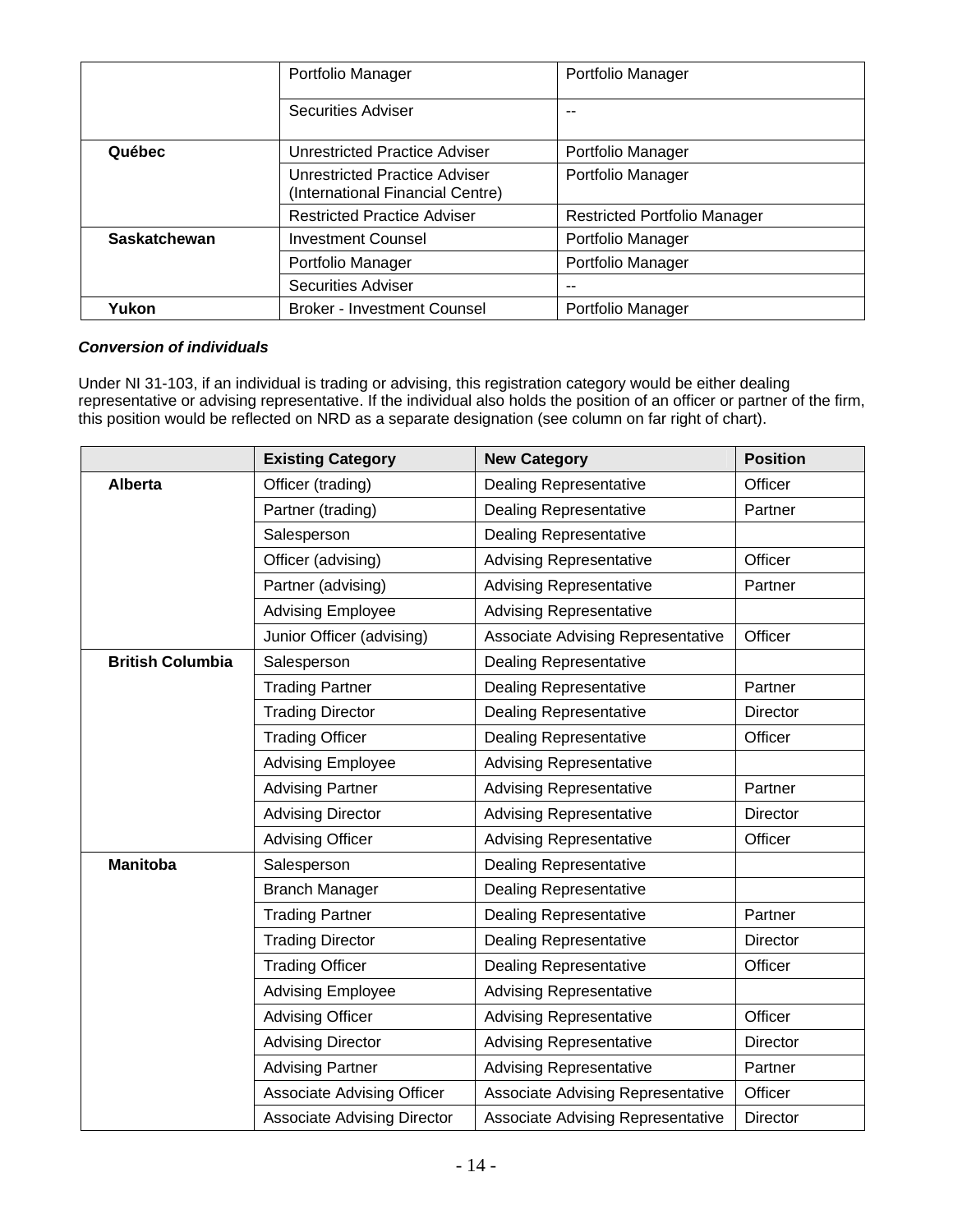|                     | Portfolio Manager                                                        | Portfolio Manager                   |
|---------------------|--------------------------------------------------------------------------|-------------------------------------|
|                     | <b>Securities Adviser</b>                                                | --                                  |
| Québec              | Unrestricted Practice Adviser                                            | Portfolio Manager                   |
|                     | <b>Unrestricted Practice Adviser</b><br>(International Financial Centre) | Portfolio Manager                   |
|                     | <b>Restricted Practice Adviser</b>                                       | <b>Restricted Portfolio Manager</b> |
| <b>Saskatchewan</b> | <b>Investment Counsel</b>                                                | Portfolio Manager                   |
|                     | Portfolio Manager                                                        | Portfolio Manager                   |
|                     | <b>Securities Adviser</b>                                                | --                                  |
| Yukon               | <b>Broker - Investment Counsel</b>                                       | Portfolio Manager                   |

# *Conversion of individuals*

Under NI 31-103, if an individual is trading or advising, this registration category would be either dealing representative or advising representative. If the individual also holds the position of an officer or partner of the firm, this position would be reflected on NRD as a separate designation (see column on far right of chart).

|                         | <b>Existing Category</b>           | <b>New Category</b>               | <b>Position</b> |
|-------------------------|------------------------------------|-----------------------------------|-----------------|
| <b>Alberta</b>          | Officer (trading)                  | <b>Dealing Representative</b>     | Officer         |
|                         | Partner (trading)                  | <b>Dealing Representative</b>     | Partner         |
|                         | Salesperson                        | <b>Dealing Representative</b>     |                 |
|                         | Officer (advising)                 | <b>Advising Representative</b>    | Officer         |
|                         | Partner (advising)                 | <b>Advising Representative</b>    | Partner         |
|                         | <b>Advising Employee</b>           | <b>Advising Representative</b>    |                 |
|                         | Junior Officer (advising)          | Associate Advising Representative | Officer         |
| <b>British Columbia</b> | Salesperson                        | <b>Dealing Representative</b>     |                 |
|                         | <b>Trading Partner</b>             | <b>Dealing Representative</b>     | Partner         |
|                         | <b>Trading Director</b>            | <b>Dealing Representative</b>     | <b>Director</b> |
|                         | <b>Trading Officer</b>             | <b>Dealing Representative</b>     | Officer         |
|                         | <b>Advising Employee</b>           | <b>Advising Representative</b>    |                 |
|                         | <b>Advising Partner</b>            | <b>Advising Representative</b>    | Partner         |
|                         | <b>Advising Director</b>           | <b>Advising Representative</b>    | Director        |
|                         | <b>Advising Officer</b>            | <b>Advising Representative</b>    | Officer         |
| <b>Manitoba</b>         | Salesperson                        | <b>Dealing Representative</b>     |                 |
|                         | <b>Branch Manager</b>              | <b>Dealing Representative</b>     |                 |
|                         | <b>Trading Partner</b>             | <b>Dealing Representative</b>     | Partner         |
|                         | <b>Trading Director</b>            | <b>Dealing Representative</b>     | <b>Director</b> |
|                         | <b>Trading Officer</b>             | <b>Dealing Representative</b>     | Officer         |
|                         | <b>Advising Employee</b>           | <b>Advising Representative</b>    |                 |
|                         | <b>Advising Officer</b>            | <b>Advising Representative</b>    | Officer         |
|                         | <b>Advising Director</b>           | <b>Advising Representative</b>    | Director        |
|                         | <b>Advising Partner</b>            | <b>Advising Representative</b>    | Partner         |
|                         | <b>Associate Advising Officer</b>  | Associate Advising Representative | Officer         |
|                         | <b>Associate Advising Director</b> | Associate Advising Representative | Director        |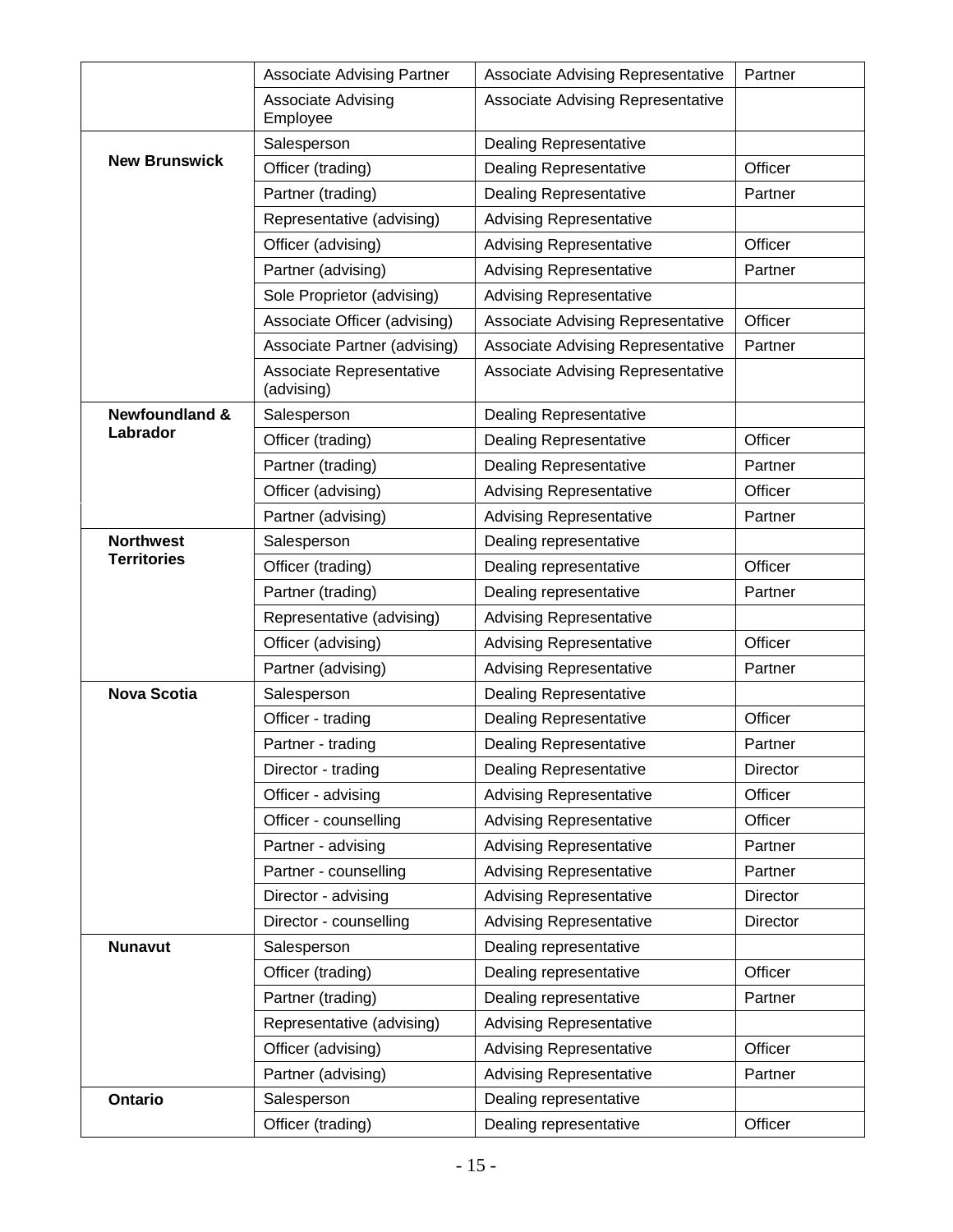|                           | <b>Associate Advising Partner</b>      | Associate Advising Representative        | Partner  |
|---------------------------|----------------------------------------|------------------------------------------|----------|
|                           | Associate Advising<br>Employee         | <b>Associate Advising Representative</b> |          |
|                           | Salesperson                            | <b>Dealing Representative</b>            |          |
| <b>New Brunswick</b>      | Officer (trading)                      | <b>Dealing Representative</b>            | Officer  |
|                           | Partner (trading)                      | <b>Dealing Representative</b>            | Partner  |
|                           | Representative (advising)              | <b>Advising Representative</b>           |          |
|                           | Officer (advising)                     | <b>Advising Representative</b>           | Officer  |
|                           | Partner (advising)                     | <b>Advising Representative</b>           | Partner  |
|                           | Sole Proprietor (advising)             | <b>Advising Representative</b>           |          |
|                           | Associate Officer (advising)           | <b>Associate Advising Representative</b> | Officer  |
|                           | Associate Partner (advising)           | Associate Advising Representative        | Partner  |
|                           | Associate Representative<br>(advising) | <b>Associate Advising Representative</b> |          |
| <b>Newfoundland &amp;</b> | Salesperson                            | <b>Dealing Representative</b>            |          |
| Labrador                  | Officer (trading)                      | <b>Dealing Representative</b>            | Officer  |
|                           | Partner (trading)                      | <b>Dealing Representative</b>            | Partner  |
|                           | Officer (advising)                     | <b>Advising Representative</b>           | Officer  |
|                           | Partner (advising)                     | <b>Advising Representative</b>           | Partner  |
| <b>Northwest</b>          | Salesperson                            | Dealing representative                   |          |
| <b>Territories</b>        | Officer (trading)                      | Dealing representative                   | Officer  |
|                           | Partner (trading)                      | Dealing representative                   | Partner  |
|                           | Representative (advising)              | <b>Advising Representative</b>           |          |
|                           | Officer (advising)                     | <b>Advising Representative</b>           | Officer  |
|                           | Partner (advising)                     | <b>Advising Representative</b>           | Partner  |
| <b>Nova Scotia</b>        | Salesperson                            | <b>Dealing Representative</b>            |          |
|                           | Officer - trading                      | <b>Dealing Representative</b>            | Officer  |
|                           | Partner - trading                      | <b>Dealing Representative</b>            | Partner  |
|                           | Director - trading                     | <b>Dealing Representative</b>            | Director |
|                           | Officer - advising                     | <b>Advising Representative</b>           | Officer  |
|                           | Officer - counselling                  | <b>Advising Representative</b>           | Officer  |
|                           | Partner - advising                     | <b>Advising Representative</b>           | Partner  |
|                           | Partner - counselling                  | <b>Advising Representative</b>           | Partner  |
|                           | Director - advising                    | <b>Advising Representative</b>           | Director |
|                           | Director - counselling                 | <b>Advising Representative</b>           | Director |
| <b>Nunavut</b>            | Salesperson                            | Dealing representative                   |          |
|                           | Officer (trading)                      | Dealing representative                   | Officer  |
|                           | Partner (trading)                      | Dealing representative                   | Partner  |
|                           | Representative (advising)              | <b>Advising Representative</b>           |          |
|                           | Officer (advising)                     | <b>Advising Representative</b>           | Officer  |
|                           | Partner (advising)                     | <b>Advising Representative</b>           | Partner  |
| Ontario                   | Salesperson                            | Dealing representative                   |          |
|                           | Officer (trading)                      | Dealing representative                   | Officer  |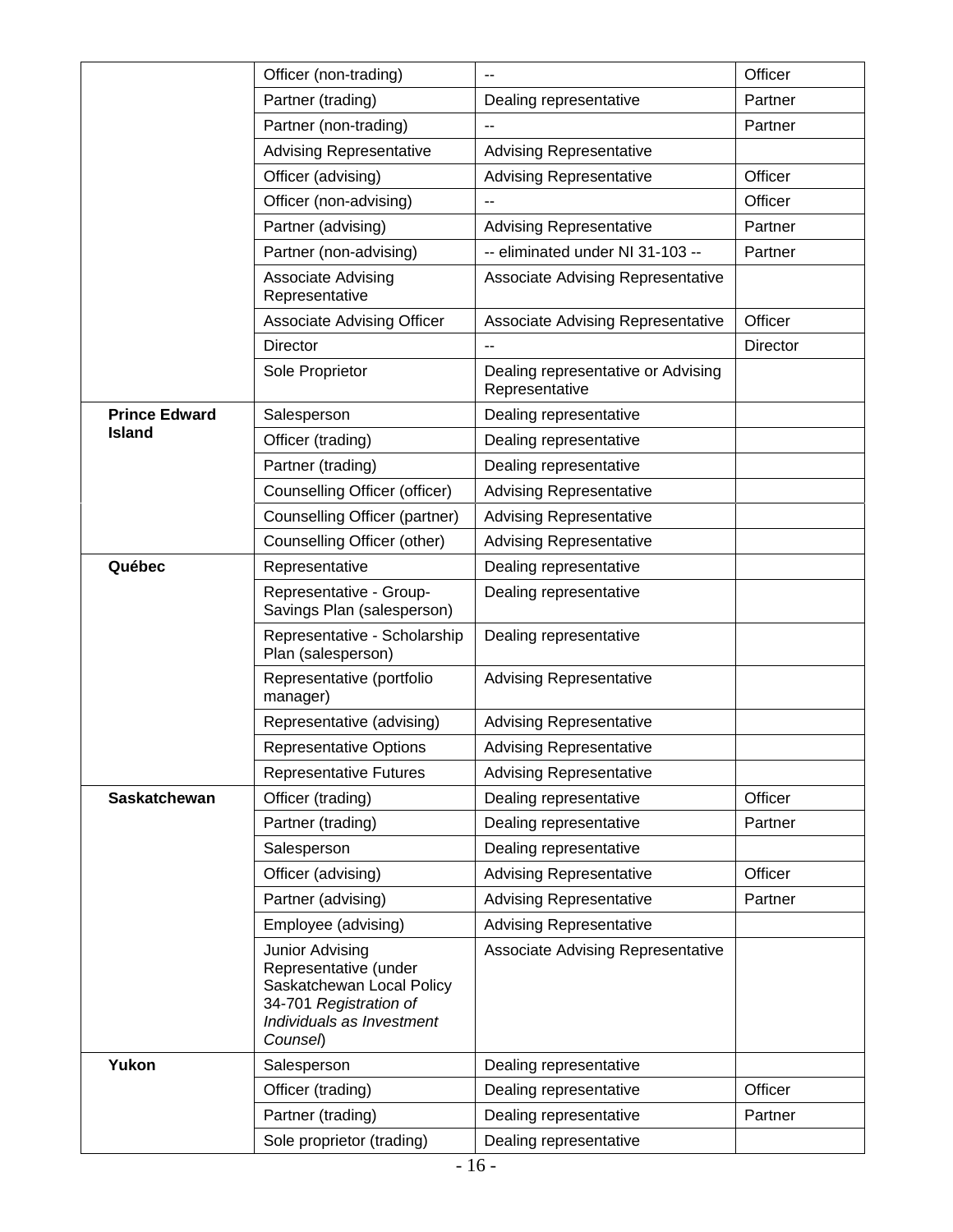|                      | Officer (non-trading)                                                                                                                    | $-$                                                  | Officer  |
|----------------------|------------------------------------------------------------------------------------------------------------------------------------------|------------------------------------------------------|----------|
|                      | Partner (trading)                                                                                                                        | Dealing representative                               | Partner  |
|                      | Partner (non-trading)                                                                                                                    |                                                      | Partner  |
|                      | <b>Advising Representative</b>                                                                                                           | <b>Advising Representative</b>                       |          |
|                      | Officer (advising)                                                                                                                       | <b>Advising Representative</b>                       | Officer  |
|                      | Officer (non-advising)                                                                                                                   |                                                      | Officer  |
|                      | Partner (advising)                                                                                                                       | <b>Advising Representative</b>                       | Partner  |
|                      | Partner (non-advising)                                                                                                                   | -- eliminated under NI 31-103 --                     | Partner  |
|                      | <b>Associate Advising</b><br>Representative                                                                                              | <b>Associate Advising Representative</b>             |          |
|                      | <b>Associate Advising Officer</b>                                                                                                        | Associate Advising Representative                    | Officer  |
|                      | <b>Director</b>                                                                                                                          | --                                                   | Director |
|                      | Sole Proprietor                                                                                                                          | Dealing representative or Advising<br>Representative |          |
| <b>Prince Edward</b> | Salesperson                                                                                                                              | Dealing representative                               |          |
| <b>Island</b>        | Officer (trading)                                                                                                                        | Dealing representative                               |          |
|                      | Partner (trading)                                                                                                                        | Dealing representative                               |          |
|                      | Counselling Officer (officer)                                                                                                            | <b>Advising Representative</b>                       |          |
|                      | Counselling Officer (partner)                                                                                                            | <b>Advising Representative</b>                       |          |
|                      | Counselling Officer (other)                                                                                                              | <b>Advising Representative</b>                       |          |
| Québec               | Representative                                                                                                                           | Dealing representative                               |          |
|                      | Representative - Group-<br>Savings Plan (salesperson)                                                                                    | Dealing representative                               |          |
|                      | Representative - Scholarship<br>Plan (salesperson)                                                                                       | Dealing representative                               |          |
|                      | Representative (portfolio<br>manager)                                                                                                    | <b>Advising Representative</b>                       |          |
|                      | Representative (advising)                                                                                                                | <b>Advising Representative</b>                       |          |
|                      | <b>Representative Options</b>                                                                                                            | <b>Advising Representative</b>                       |          |
|                      | <b>Representative Futures</b>                                                                                                            | <b>Advising Representative</b>                       |          |
| <b>Saskatchewan</b>  | Officer (trading)                                                                                                                        | Dealing representative                               | Officer  |
|                      | Partner (trading)                                                                                                                        | Dealing representative                               | Partner  |
|                      | Salesperson                                                                                                                              | Dealing representative                               |          |
|                      | Officer (advising)                                                                                                                       | <b>Advising Representative</b>                       | Officer  |
|                      | Partner (advising)                                                                                                                       | <b>Advising Representative</b>                       | Partner  |
|                      | Employee (advising)                                                                                                                      | <b>Advising Representative</b>                       |          |
|                      | Junior Advising<br>Representative (under<br>Saskatchewan Local Policy<br>34-701 Registration of<br>Individuals as Investment<br>Counsel) | <b>Associate Advising Representative</b>             |          |
| Yukon                | Salesperson                                                                                                                              | Dealing representative                               |          |
|                      | Officer (trading)                                                                                                                        | Dealing representative                               | Officer  |
|                      | Partner (trading)                                                                                                                        | Dealing representative                               | Partner  |
|                      | Sole proprietor (trading)                                                                                                                | Dealing representative                               |          |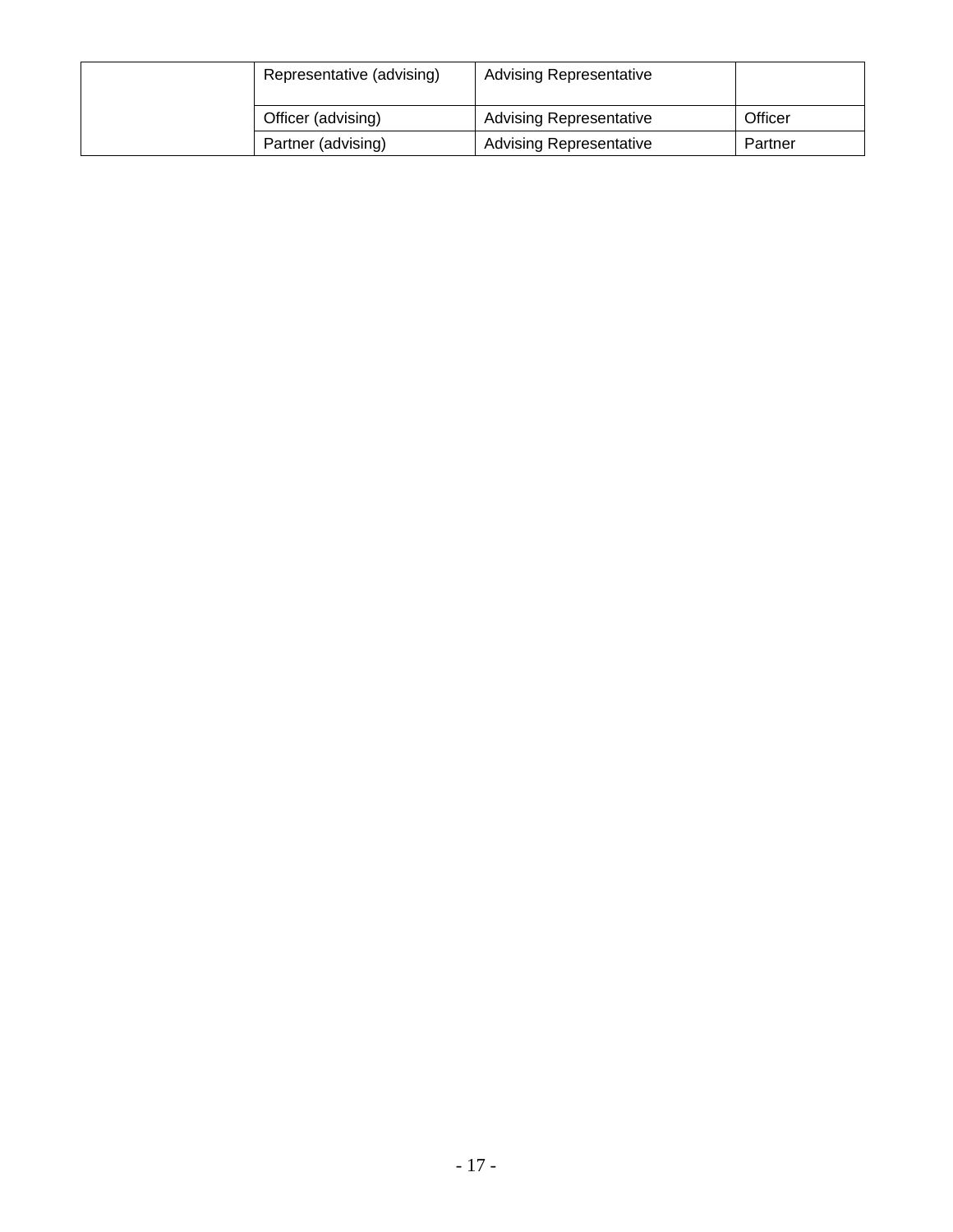| Representative (advising) | <b>Advising Representative</b> |         |
|---------------------------|--------------------------------|---------|
| Officer (advising)        | <b>Advising Representative</b> | Officer |
| Partner (advising)        | <b>Advising Representative</b> | Partner |